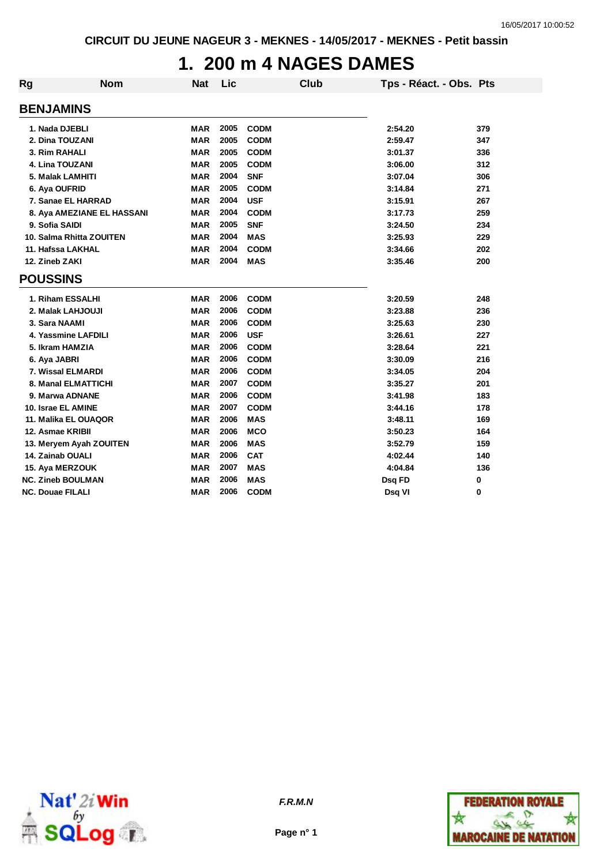### **1. 200 m 4 NAGES DAMES**

| Rg                       | <b>Nom</b>                 | <b>Nat</b> | Lic  |             | <b>Club</b> | Tps - Réact. - Obs. Pts |     |
|--------------------------|----------------------------|------------|------|-------------|-------------|-------------------------|-----|
| <b>BENJAMINS</b>         |                            |            |      |             |             |                         |     |
| 1. Nada DJEBLI           |                            | <b>MAR</b> | 2005 | <b>CODM</b> |             | 2:54.20                 | 379 |
| 2. Dina TOUZANI          |                            | <b>MAR</b> | 2005 | <b>CODM</b> |             | 2:59.47                 | 347 |
| 3. Rim RAHALI            |                            | <b>MAR</b> | 2005 | <b>CODM</b> |             | 3:01.37                 | 336 |
| 4. Lina TOUZANI          |                            | <b>MAR</b> | 2005 | <b>CODM</b> |             | 3:06.00                 | 312 |
| 5. Malak LAMHITI         |                            | <b>MAR</b> | 2004 | <b>SNF</b>  |             | 3:07.04                 | 306 |
| 6. Aya OUFRID            |                            | <b>MAR</b> | 2005 | <b>CODM</b> |             | 3:14.84                 | 271 |
|                          | 7. Sanae EL HARRAD         | <b>MAR</b> | 2004 | <b>USF</b>  |             | 3:15.91                 | 267 |
|                          | 8. Aya AMEZIANE EL HASSANI | <b>MAR</b> | 2004 | <b>CODM</b> |             | 3:17.73                 | 259 |
| 9. Sofia SAIDI           |                            | <b>MAR</b> | 2005 | <b>SNF</b>  |             | 3:24.50                 | 234 |
|                          | 10. Salma Rhitta ZOUITEN   | <b>MAR</b> | 2004 | <b>MAS</b>  |             | 3:25.93                 | 229 |
| 11. Hafssa LAKHAL        |                            | <b>MAR</b> | 2004 | <b>CODM</b> |             | 3:34.66                 | 202 |
| 12. Zineb ZAKI           |                            | <b>MAR</b> | 2004 | <b>MAS</b>  |             | 3:35.46                 | 200 |
| <b>POUSSINS</b>          |                            |            |      |             |             |                         |     |
|                          | 1. Riham ESSALHI           | <b>MAR</b> | 2006 | <b>CODM</b> |             | 3:20.59                 | 248 |
|                          | 2. Malak LAHJOUJI          | <b>MAR</b> | 2006 | <b>CODM</b> |             | 3:23.88                 | 236 |
| 3. Sara NAAMI            |                            | <b>MAR</b> | 2006 | <b>CODM</b> |             | 3:25.63                 | 230 |
|                          | 4. Yassmine LAFDILI        | <b>MAR</b> | 2006 | <b>USF</b>  |             | 3:26.61                 | 227 |
| 5. Ikram HAMZIA          |                            | <b>MAR</b> | 2006 | <b>CODM</b> |             | 3:28.64                 | 221 |
| 6. Aya JABRI             |                            | <b>MAR</b> | 2006 | <b>CODM</b> |             | 3:30.09                 | 216 |
|                          | 7. Wissal ELMARDI          | <b>MAR</b> | 2006 | <b>CODM</b> |             | 3:34.05                 | 204 |
|                          | 8. Manal ELMATTICHI        | <b>MAR</b> | 2007 | <b>CODM</b> |             | 3:35.27                 | 201 |
| 9. Marwa ADNANE          |                            | <b>MAR</b> | 2006 | <b>CODM</b> |             | 3:41.98                 | 183 |
| 10. Israe EL AMINE       |                            | <b>MAR</b> | 2007 | <b>CODM</b> |             | 3:44.16                 | 178 |
|                          | 11. Malika EL OUAQOR       | <b>MAR</b> | 2006 | <b>MAS</b>  |             | 3:48.11                 | 169 |
| 12. Asmae KRIBII         |                            | <b>MAR</b> | 2006 | <b>MCO</b>  |             | 3:50.23                 | 164 |
|                          | 13. Meryem Ayah ZOUITEN    | <b>MAR</b> | 2006 | <b>MAS</b>  |             | 3:52.79                 | 159 |
| 14. Zainab OUALI         |                            | <b>MAR</b> | 2006 | <b>CAT</b>  |             | 4:02.44                 | 140 |
| 15. Aya MERZOUK          |                            | <b>MAR</b> | 2007 | <b>MAS</b>  |             | 4:04.84                 | 136 |
| <b>NC. Zineb BOULMAN</b> |                            | <b>MAR</b> | 2006 | <b>MAS</b>  |             | Dsq FD                  | 0   |
| <b>NC. Douae FILALI</b>  |                            | <b>MAR</b> | 2006 | <b>CODM</b> |             | Dsq VI                  | 0   |



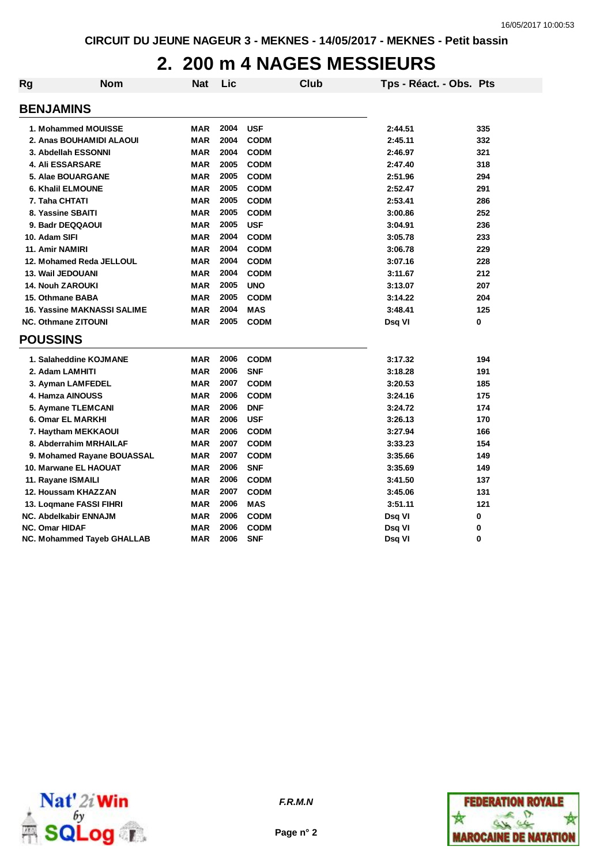## **2. 200 m 4 NAGES MESSIEURS**

| Rg | <b>Nom</b>                         | <b>Nat</b> | Lic  |             | Club | Tps - Réact. - Obs. Pts |     |
|----|------------------------------------|------------|------|-------------|------|-------------------------|-----|
|    | <b>BENJAMINS</b>                   |            |      |             |      |                         |     |
|    |                                    |            |      |             |      |                         |     |
|    | 1. Mohammed MOUISSE                | <b>MAR</b> | 2004 | <b>USF</b>  |      | 2:44.51                 | 335 |
|    | 2. Anas BOUHAMIDI ALAOUI           | <b>MAR</b> | 2004 | <b>CODM</b> |      | 2:45.11                 | 332 |
|    | 3. Abdellah ESSONNI                | <b>MAR</b> | 2004 | <b>CODM</b> |      | 2:46.97                 | 321 |
|    | <b>4. Ali ESSARSARE</b>            | <b>MAR</b> | 2005 | <b>CODM</b> |      | 2:47.40                 | 318 |
|    | 5. Alae BOUARGANE                  | <b>MAR</b> | 2005 | <b>CODM</b> |      | 2:51.96                 | 294 |
|    | 6. Khalil ELMOUNE                  | <b>MAR</b> | 2005 | <b>CODM</b> |      | 2:52.47                 | 291 |
|    | 7. Taha CHTATI                     | <b>MAR</b> | 2005 | <b>CODM</b> |      | 2:53.41                 | 286 |
|    | 8. Yassine SBAITI                  | <b>MAR</b> | 2005 | <b>CODM</b> |      | 3:00.86                 | 252 |
|    | 9. Badr DEQQAOUI                   | <b>MAR</b> | 2005 | <b>USF</b>  |      | 3:04.91                 | 236 |
|    | 10. Adam SIFI                      | <b>MAR</b> | 2004 | <b>CODM</b> |      | 3:05.78                 | 233 |
|    | 11. Amir NAMIRI                    | <b>MAR</b> | 2004 | <b>CODM</b> |      | 3:06.78                 | 229 |
|    | 12. Mohamed Reda JELLOUL           | <b>MAR</b> | 2004 | <b>CODM</b> |      | 3:07.16                 | 228 |
|    | 13. Wail JEDOUANI                  | <b>MAR</b> | 2004 | <b>CODM</b> |      | 3:11.67                 | 212 |
|    | <b>14. Nouh ZAROUKI</b>            | <b>MAR</b> | 2005 | <b>UNO</b>  |      | 3:13.07                 | 207 |
|    | 15. Othmane BABA                   | <b>MAR</b> | 2005 | <b>CODM</b> |      | 3:14.22                 | 204 |
|    | <b>16. Yassine MAKNASSI SALIME</b> | <b>MAR</b> | 2004 | <b>MAS</b>  |      | 3:48.41                 | 125 |
|    | <b>NC. Othmane ZITOUNI</b>         | <b>MAR</b> | 2005 | <b>CODM</b> |      | Dsq VI                  | 0   |
|    | <b>POUSSINS</b>                    |            |      |             |      |                         |     |
|    | 1. Salaheddine KOJMANE             | <b>MAR</b> | 2006 | <b>CODM</b> |      | 3:17.32                 | 194 |
|    | 2. Adam LAMHITI                    | <b>MAR</b> | 2006 | <b>SNF</b>  |      | 3:18.28                 | 191 |
|    | 3. Ayman LAMFEDEL                  | <b>MAR</b> | 2007 | <b>CODM</b> |      | 3:20.53                 | 185 |
|    | 4. Hamza AINOUSS                   | <b>MAR</b> | 2006 | <b>CODM</b> |      | 3:24.16                 | 175 |
|    | 5. Aymane TLEMCANI                 | <b>MAR</b> | 2006 | <b>DNF</b>  |      | 3:24.72                 | 174 |
|    | 6. Omar EL MARKHI                  | <b>MAR</b> | 2006 | <b>USF</b>  |      | 3:26.13                 | 170 |
|    | 7. Haytham MEKKAOUI                | <b>MAR</b> | 2006 | <b>CODM</b> |      | 3:27.94                 | 166 |
|    | 8. Abderrahim MRHAILAF             | <b>MAR</b> | 2007 | <b>CODM</b> |      | 3:33.23                 | 154 |
|    | 9. Mohamed Rayane BOUASSAL         | <b>MAR</b> | 2007 | <b>CODM</b> |      | 3:35.66                 | 149 |
|    | 10. Marwane EL HAOUAT              | <b>MAR</b> | 2006 | <b>SNF</b>  |      | 3:35.69                 | 149 |
|    | 11. Rayane ISMAILI                 | <b>MAR</b> | 2006 | <b>CODM</b> |      | 3:41.50                 | 137 |
|    | 12. Houssam KHAZZAN                | <b>MAR</b> | 2007 | <b>CODM</b> |      | 3:45.06                 | 131 |
|    | 13. Loqmane FASSI FIHRI            | <b>MAR</b> | 2006 | <b>MAS</b>  |      | 3:51.11                 | 121 |
|    | <b>NC. Abdelkabir ENNAJM</b>       | <b>MAR</b> | 2006 | <b>CODM</b> |      | Dsq VI                  | 0   |
|    | <b>NC. Omar HIDAF</b>              | <b>MAR</b> | 2006 | <b>CODM</b> |      | Dsq VI                  | 0   |
|    | <b>NC. Mohammed Tayeb GHALLAB</b>  | <b>MAR</b> | 2006 | <b>SNF</b>  |      | Dsq VI                  | 0   |



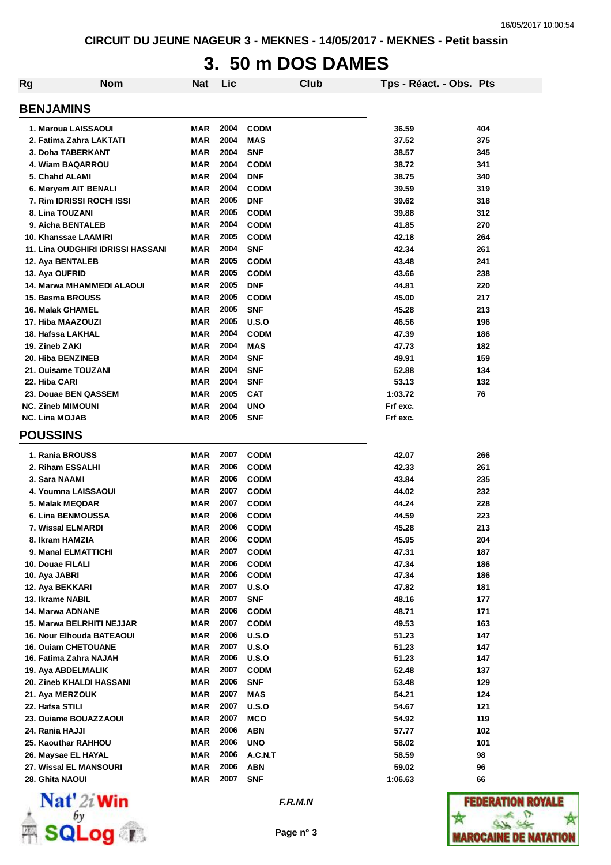# **3. 50 m DOS DAMES**

| Rg                                                   | <b>Nom</b>                               | <b>Nat</b>        | Lic          |                           | Club | Tps - Réact. - Obs. Pts |            |
|------------------------------------------------------|------------------------------------------|-------------------|--------------|---------------------------|------|-------------------------|------------|
| <b>BENJAMINS</b>                                     |                                          |                   |              |                           |      |                         |            |
| 1. Maroua LAISSAOUI                                  |                                          | MAR               | 2004         | <b>CODM</b>               |      | 36.59                   | 404        |
| 2. Fatima Zahra LAKTATI                              |                                          | <b>MAR</b>        | 2004         | <b>MAS</b>                |      | 37.52                   | 375        |
| 3. Doha TABERKANT                                    |                                          | <b>MAR</b>        | 2004         | <b>SNF</b>                |      | 38.57                   | 345        |
| 4. Wiam BAQARROU                                     |                                          | <b>MAR</b>        | 2004         | <b>CODM</b>               |      | 38.72                   | 341        |
| 5. Chahd ALAMI                                       |                                          | <b>MAR</b>        | 2004         | <b>DNF</b>                |      | 38.75                   | 340        |
| 6. Meryem AIT BENALI                                 |                                          | <b>MAR</b>        | 2004         | <b>CODM</b>               |      | 39.59                   | 319        |
| 7. Rim IDRISSI ROCHI ISSI                            |                                          | <b>MAR</b>        | 2005         | <b>DNF</b>                |      | 39.62                   | 318        |
| 8. Lina TOUZANI                                      |                                          | <b>MAR</b>        | 2005         | <b>CODM</b>               |      | 39.88                   | 312        |
| 9. Aicha BENTALEB                                    |                                          | MAR               | 2004         | <b>CODM</b>               |      | 41.85                   | 270        |
| 10. Khanssae LAAMIRI                                 |                                          | MAR               | 2005         | <b>CODM</b>               |      | 42.18                   | 264        |
|                                                      | <b>11. Lina OUDGHIRI IDRISSI HASSANI</b> | MAR               | 2004         | <b>SNF</b>                |      | 42.34                   | 261        |
| 12. Aya BENTALEB                                     |                                          | <b>MAR</b>        | 2005         | <b>CODM</b>               |      | 43.48                   | 241        |
| 13. Aya OUFRID                                       |                                          | MAR               | 2005         | <b>CODM</b>               |      | 43.66                   | 238        |
| 14. Marwa MHAMMEDI ALAOUI                            |                                          | MAR               | 2005         | <b>DNF</b>                |      | 44.81                   | 220        |
| 15. Basma BROUSS                                     |                                          | MAR               | 2005         | <b>CODM</b>               |      | 45.00                   | 217        |
| 16. Malak GHAMEL                                     |                                          | MAR               | 2005         | <b>SNF</b>                |      | 45.28                   | 213        |
| 17. Hiba MAAZOUZI                                    |                                          | <b>MAR</b>        | 2005         | U.S.O                     |      | 46.56                   | 196        |
| 18. Hafssa LAKHAL                                    |                                          | <b>MAR</b>        | 2004         | <b>CODM</b>               |      | 47.39                   | 186        |
| 19. Zineb ZAKI                                       |                                          | MAR               | 2004         | <b>MAS</b>                |      | 47.73                   | 182        |
| 20. Hiba BENZINEB                                    |                                          | MAR               | 2004         | <b>SNF</b>                |      | 49.91                   | 159        |
| 21. Ouisame TOUZANI                                  |                                          | <b>MAR</b>        | 2004         | <b>SNF</b>                |      | 52.88                   | 134        |
| 22. Hiba CARI                                        |                                          | MAR               | 2004         | <b>SNF</b>                |      | 53.13                   | 132        |
| 23. Douae BEN QASSEM                                 |                                          | <b>MAR</b>        | 2005         | <b>CAT</b>                |      | 1:03.72                 | 76         |
| <b>NC. Zineb MIMOUNI</b>                             |                                          | <b>MAR</b>        | 2004         | <b>UNO</b>                |      | Frf exc.                |            |
| <b>NC. Lina MOJAB</b>                                |                                          | MAR               | 2005         | <b>SNF</b>                |      | Frf exc.                |            |
| <b>POUSSINS</b>                                      |                                          |                   |              |                           |      |                         |            |
| 1. Rania BROUSS                                      |                                          | <b>MAR</b>        | 2007         | <b>CODM</b>               |      | 42.07                   | 266        |
| 2. Riham ESSALHI                                     |                                          | <b>MAR</b>        | 2006         | <b>CODM</b>               |      | 42.33                   | 261        |
| 3. Sara NAAMI                                        |                                          | MAR               | 2006         | <b>CODM</b>               |      | 43.84                   | 235        |
| 4. Youmna LAISSAOUI                                  |                                          | <b>MAR</b>        | 2007         | <b>CODM</b>               |      | 44.02                   | 232        |
| 5. Malak MEQDAR                                      |                                          | <b>MAR</b>        | 2007         | <b>CODM</b>               |      | 44.24                   | 228        |
| 6. Lina BENMOUSSA                                    |                                          | MAR               | 2006         | <b>CODM</b>               |      | 44.59                   | 223        |
| 7. Wissal ELMARDI                                    |                                          | MAR               | 2006         | <b>CODM</b>               |      | 45.28                   | 213        |
| 8. Ikram HAMZIA                                      |                                          | MAR               | 2006         | <b>CODM</b>               |      | 45.95                   | 204        |
| 9. Manal ELMATTICHI                                  |                                          | MAR               | 2007         | <b>CODM</b>               |      | 47.31                   | 187        |
| 10. Douae FILALI                                     |                                          | <b>MAR</b>        | 2006         | <b>CODM</b>               |      | 47.34                   | 186        |
| 10. Aya JABRI                                        |                                          | MAR               | 2006         | <b>CODM</b>               |      | 47.34                   | 186        |
| 12. Aya BEKKARI                                      |                                          | MAR               | 2007         | U.S.O                     |      | 47.82                   | 181        |
| 13. Ikrame NABIL                                     |                                          | <b>MAR</b>        | 2007         | <b>SNF</b>                |      | 48.16                   | 177        |
| 14. Marwa ADNANE                                     |                                          | <b>MAR</b>        | 2006         | <b>CODM</b>               |      | 48.71                   | 171        |
| 15. Marwa BELRHITI NEJJAR                            |                                          | <b>MAR</b>        | 2007         | <b>CODM</b>               |      | 49.53                   | 163        |
| <b>16. Nour Elhouda BATEAOUI</b>                     |                                          | <b>MAR</b>        | 2006         | U.S.O                     |      | 51.23                   | 147        |
| <b>16. Ouiam CHETOUANE</b><br>16. Fatima Zahra NAJAH |                                          | <b>MAR</b><br>MAR | 2007<br>2006 | U.S.O<br>U.S.O            |      | 51.23<br>51.23          | 147<br>147 |
|                                                      |                                          | <b>MAR</b>        | 2007         |                           |      |                         |            |
| 19. Aya ABDELMALIK<br>20. Zineb KHALDI HASSANI       |                                          | <b>MAR</b>        | 2006         | <b>CODM</b><br><b>SNF</b> |      | 52.48<br>53.48          | 137<br>129 |
| 21. Aya MERZOUK                                      |                                          | <b>MAR</b>        | 2007         | <b>MAS</b>                |      | 54.21                   | 124        |
| 22. Hafsa STILI                                      |                                          | <b>MAR</b>        | 2007         | U.S.O                     |      | 54.67                   | 121        |
| 23. Ouiame BOUAZZAOUI                                |                                          | <b>MAR</b>        | 2007         | <b>MCO</b>                |      | 54.92                   | 119        |
| 24. Rania HAJJI                                      |                                          | MAR               | 2006         | <b>ABN</b>                |      | 57.77                   | 102        |
| 25. Kaouthar RAHHOU                                  |                                          | <b>MAR</b>        | 2006         | <b>UNO</b>                |      | 58.02                   | 101        |
| 26. Maysae EL HAYAL                                  |                                          | <b>MAR</b>        | 2006         | A.C.N.T                   |      | 58.59                   | 98         |
| 27. Wissal EL MANSOURI                               |                                          | <b>MAR</b>        | 2006         | <b>ABN</b>                |      | 59.02                   | 96         |
| 28. Ghita NAOUI                                      |                                          | <b>MAR</b>        | 2007         | <b>SNF</b>                |      | 1:06.63                 | 66         |
|                                                      |                                          |                   |              |                           |      |                         |            |



*F.R.M.N*

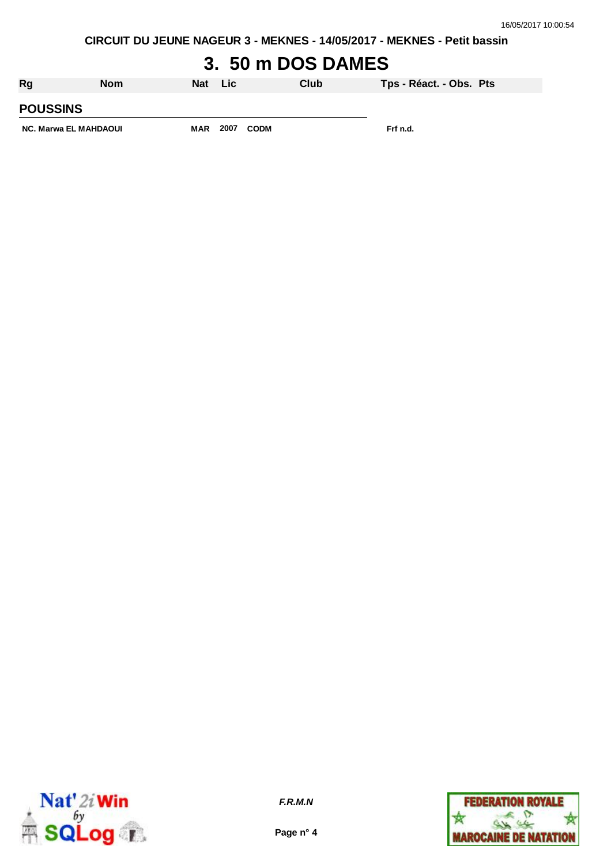**CIRCUIT DU JEUNE NAGEUR 3 - MEKNES - 14/05/2017 - MEKNES - Petit bassin**

# **3. 50 m DOS DAMES**

| Rg                    | <b>Nom</b> | <b>Nat</b> | - Lic |             | Club | Tps - Réact. - Obs. Pts |  |
|-----------------------|------------|------------|-------|-------------|------|-------------------------|--|
| <b>POUSSINS</b>       |            |            |       |             |      |                         |  |
| NC. Marwa EL MAHDAOUI |            | <b>MAR</b> | 2007  | <b>CODM</b> |      | Frf n.d.                |  |



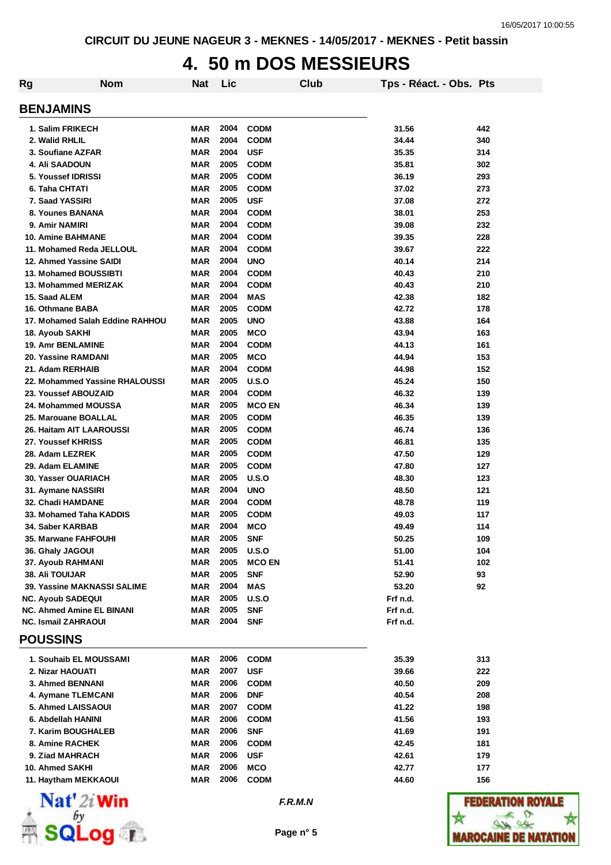#### **4. 50 m DOS MESSIEURS**

| Rg                                                           | <b>Nom</b>                      | Nat               | Lic          |                          | <b>Club</b> | Tps - Réact. - Obs. Pts |     |
|--------------------------------------------------------------|---------------------------------|-------------------|--------------|--------------------------|-------------|-------------------------|-----|
| <b>BENJAMINS</b>                                             |                                 |                   |              |                          |             |                         |     |
| 1. Salim FRIKECH                                             |                                 | MAR               | 2004         | <b>CODM</b>              |             | 31.56                   | 442 |
| 2. Walid RHLIL                                               |                                 | <b>MAR</b>        | 2004         | <b>CODM</b>              |             | 34.44                   | 340 |
| 3. Soufiane AZFAR                                            |                                 | <b>MAR</b>        | 2004         | <b>USF</b>               |             | 35.35                   | 314 |
| 4. Ali SAADOUN                                               |                                 | <b>MAR</b>        | 2005         | <b>CODM</b>              |             | 35.81                   | 302 |
| 5. Youssef IDRISSI                                           |                                 | <b>MAR</b>        | 2005         | <b>CODM</b>              |             | 36.19                   | 293 |
| 6. Taha CHTATI                                               |                                 | <b>MAR</b>        | 2005         | <b>CODM</b>              |             | 37.02                   | 273 |
| 7. Saad YASSIRI                                              |                                 | <b>MAR</b>        | 2005         | <b>USF</b>               |             | 37.08                   | 272 |
| 8. Younes BANANA                                             |                                 | <b>MAR</b>        | 2004         | <b>CODM</b>              |             | 38.01                   | 253 |
| 9. Amir NAMIRI                                               |                                 | <b>MAR</b>        | 2004         | <b>CODM</b>              |             | 39.08                   | 232 |
| <b>10. Amine BAHMANE</b>                                     |                                 | <b>MAR</b>        | 2004         | <b>CODM</b>              |             | 39.35                   | 228 |
| 11. Mohamed Reda JELLOUL                                     |                                 | <b>MAR</b>        | 2004         | <b>CODM</b>              |             | 39.67                   | 222 |
| 12. Ahmed Yassine SAIDI                                      |                                 | <b>MAR</b>        | 2004         | <b>UNO</b>               |             | 40.14                   | 214 |
| <b>13. Mohamed BOUSSIBTI</b>                                 |                                 | <b>MAR</b>        | 2004         | <b>CODM</b>              |             | 40.43                   | 210 |
| 13. Mohammed MERIZAK                                         |                                 | MAR               | 2004         | <b>CODM</b>              |             | 40.43                   | 210 |
| 15. Saad ALEM                                                |                                 | MAR               | 2004         | <b>MAS</b>               |             | 42.38                   | 182 |
| 16. Othmane BABA                                             |                                 | MAR               | 2005         | <b>CODM</b>              |             | 42.72                   | 178 |
|                                                              | 17. Mohamed Salah Eddine RAHHOU | MAR               | 2005         | <b>UNO</b>               |             | 43.88                   | 164 |
| <b>18. Ayoub SAKHI</b>                                       |                                 | <b>MAR</b>        | 2005         | <b>MCO</b>               |             | 43.94                   | 163 |
| 19. Amr BENLAMINE                                            |                                 | MAR               | 2004         | <b>CODM</b>              |             | 44.13                   | 161 |
| 20. Yassine RAMDANI                                          |                                 | <b>MAR</b>        | 2005         | <b>MCO</b>               |             | 44.94                   | 153 |
| 21. Adam RERHAIB                                             |                                 | MAR               | 2004         | <b>CODM</b>              |             | 44.98                   | 152 |
|                                                              | 22. Mohammed Yassine RHALOUSSI  | MAR               | 2005         | U.S.O                    |             | 45.24                   | 150 |
| 23. Youssef ABOUZAID                                         |                                 | <b>MAR</b>        | 2004         | <b>CODM</b>              |             | 46.32                   | 139 |
| 24. Mohammed MOUSSA                                          |                                 | MAR               | 2005         | <b>MCO EN</b>            |             | 46.34                   | 139 |
| 25. Marouane BOALLAL                                         |                                 | MAR               | 2005         | <b>CODM</b>              |             | 46.35                   | 139 |
| 26. Haitam AIT LAAROUSSI                                     |                                 | MAR               | 2005         | <b>CODM</b>              |             | 46.74                   | 136 |
| 27. Youssef KHRISS                                           |                                 | MAR               | 2005         | <b>CODM</b>              |             | 46.81                   | 135 |
| 28. Adam LEZREK                                              |                                 | MAR               | 2005         | <b>CODM</b>              |             | 47.50                   | 129 |
| 29. Adam ELAMINE                                             |                                 | MAR               | 2005         | <b>CODM</b>              |             | 47.80                   | 127 |
| 30. Yasser OUARIACH                                          |                                 | <b>MAR</b>        | 2005         | U.S.O                    |             | 48.30                   | 123 |
| 31. Aymane NASSIRI                                           |                                 | <b>MAR</b>        | 2004         | <b>UNO</b>               |             | 48.50                   | 121 |
| 32. Chadi HAMDANE                                            |                                 | MAR               | 2004         | <b>CODM</b>              |             | 48.78                   | 119 |
| 33. Mohamed Taha KADDIS                                      |                                 | MAR               | 2005         | <b>CODM</b>              |             | 49.03                   | 117 |
| 34. Saber KARBAB                                             |                                 | <b>MAR</b>        | 2004         | <b>MCO</b>               |             | 49.49                   | 114 |
| 35. Marwane FAHFOUHI                                         |                                 | MAR               | 2005         | <b>SNF</b>               |             | 50.25                   | 109 |
| 36. Ghaly JAGOUI                                             |                                 | MAR               | 2005         | U.S.O                    |             | 51.00                   | 104 |
| 37. Ayoub RAHMANI                                            |                                 | MAR               | 2005         | <b>MCO EN</b>            |             | 51.41                   | 102 |
| <b>38. Ali TOUIJAR</b>                                       |                                 | MAR               | 2005         | <b>SNF</b>               |             | 52.90                   | 93  |
| 39. Yassine MAKNASSI SALIME                                  |                                 | MAR               | 2004         | <b>MAS</b>               |             | 53.20                   | 92  |
| <b>NC. Ayoub SADEQUI</b><br><b>NC. Ahmed Amine EL BINANI</b> |                                 | MAR<br><b>MAR</b> | 2005<br>2005 | U.S.O                    |             | Frf n.d.                |     |
| <b>NC. Ismail ZAHRAOUI</b>                                   |                                 | MAR               | 2004         | <b>SNF</b><br><b>SNF</b> |             | Frf n.d.<br>Frf n.d.    |     |
| <b>POUSSINS</b>                                              |                                 |                   |              |                          |             |                         |     |
| 1. Souhaib EL MOUSSAMI                                       |                                 | MAR               | 2006         | <b>CODM</b>              |             | 35.39                   | 313 |
| 2. Nizar HAOUATI                                             |                                 | MAR               | 2007         | <b>USF</b>               |             | 39.66                   | 222 |
| 3. Ahmed BENNANI                                             |                                 | MAR               | 2006         | <b>CODM</b>              |             | 40.50                   | 209 |
| 4. Aymane TLEMCANI                                           |                                 | <b>MAR</b>        | 2006         | <b>DNF</b>               |             | 40.54                   | 208 |
| 5. Ahmed LAISSAOUI                                           |                                 | MAR               | 2007         | <b>CODM</b>              |             | 41.22                   | 198 |
| 6. Abdellah HANINI                                           |                                 | MAR               | 2006         | <b>CODM</b>              |             | 41.56                   | 193 |
| 7. Karim BOUGHALEB                                           |                                 | MAR               | 2006         | <b>SNF</b>               |             | 41.69                   | 191 |
| 8. Amine RACHEK                                              |                                 | MAR               | 2006         | <b>CODM</b>              |             | 42.45                   | 181 |
| 9. Ziad MAHRACH                                              |                                 | MAR               | 2006         | <b>USF</b>               |             | 42.61                   | 179 |
| 10. Ahmed SAKHI                                              |                                 | MAR               | 2006         | <b>MCO</b>               |             | 42.77                   | 177 |
| 11. Haytham MEKKAOUI                                         |                                 | MAR               | 2006         | <b>CODM</b>              |             | 44.60                   | 156 |
|                                                              |                                 |                   |              |                          |             |                         |     |



*F.R.M.N*

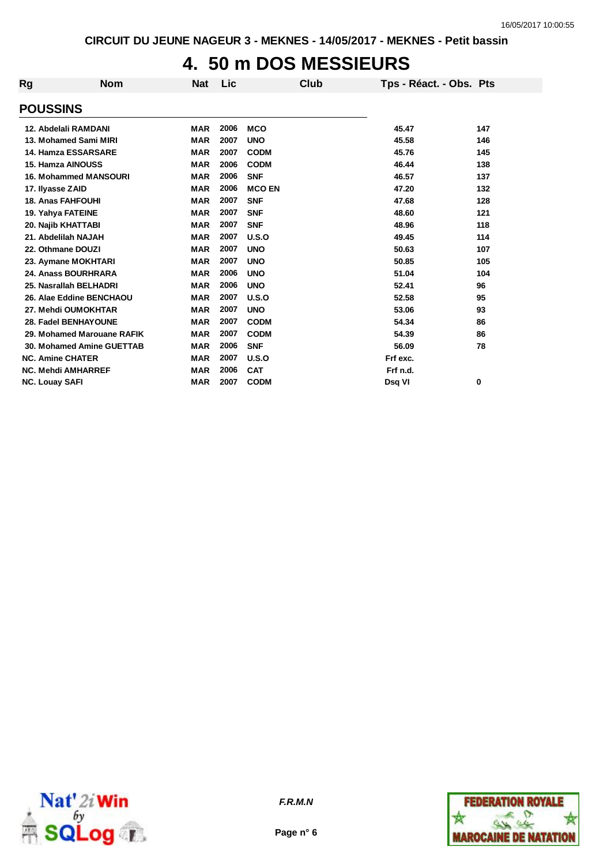#### **4. 50 m DOS MESSIEURS**

| Rg                    | <b>Nom</b>                       | <b>Nat</b> | Lic  |               | Club | Tps - Réact. - Obs. Pts |     |
|-----------------------|----------------------------------|------------|------|---------------|------|-------------------------|-----|
| <b>POUSSINS</b>       |                                  |            |      |               |      |                         |     |
|                       | 12. Abdelali RAMDANI             | <b>MAR</b> | 2006 | <b>MCO</b>    |      | 45.47                   | 147 |
|                       | 13. Mohamed Sami MIRI            | <b>MAR</b> | 2007 | <b>UNO</b>    |      | 45.58                   | 146 |
|                       | 14. Hamza ESSARSARE              | <b>MAR</b> | 2007 | <b>CODM</b>   |      | 45.76                   | 145 |
|                       | 15. Hamza AINOUSS                | <b>MAR</b> | 2006 | <b>CODM</b>   |      | 46.44                   | 138 |
|                       | <b>16. Mohammed MANSOURI</b>     | <b>MAR</b> | 2006 | <b>SNF</b>    |      | 46.57                   | 137 |
|                       | 17. Ilyasse ZAID                 | <b>MAR</b> | 2006 | <b>MCO EN</b> |      | 47.20                   | 132 |
|                       | <b>18. Anas FAHFOUHI</b>         | <b>MAR</b> | 2007 | <b>SNF</b>    |      | 47.68                   | 128 |
|                       | 19. Yahya FATEINE                | <b>MAR</b> | 2007 | <b>SNF</b>    |      | 48.60                   | 121 |
|                       | 20. Najib KHATTABI               | <b>MAR</b> | 2007 | <b>SNF</b>    |      | 48.96                   | 118 |
|                       | 21. Abdelilah NAJAH              | <b>MAR</b> | 2007 | U.S.O         |      | 49.45                   | 114 |
|                       | 22. Othmane DOUZI                | <b>MAR</b> | 2007 | <b>UNO</b>    |      | 50.63                   | 107 |
|                       | 23. Aymane MOKHTARI              | <b>MAR</b> | 2007 | <b>UNO</b>    |      | 50.85                   | 105 |
|                       | 24. Anass BOURHRARA              | <b>MAR</b> | 2006 | <b>UNO</b>    |      | 51.04                   | 104 |
|                       | 25. Nasrallah BELHADRI           | <b>MAR</b> | 2006 | <b>UNO</b>    |      | 52.41                   | 96  |
|                       | 26. Alae Eddine BENCHAOU         | <b>MAR</b> | 2007 | U.S.O         |      | 52.58                   | 95  |
|                       | 27. Mehdi OUMOKHTAR              | <b>MAR</b> | 2007 | <b>UNO</b>    |      | 53.06                   | 93  |
|                       | 28. Fadel BENHAYOUNE             | <b>MAR</b> | 2007 | <b>CODM</b>   |      | 54.34                   | 86  |
|                       | 29. Mohamed Marouane RAFIK       | <b>MAR</b> | 2007 | <b>CODM</b>   |      | 54.39                   | 86  |
|                       | <b>30. Mohamed Amine GUETTAB</b> | <b>MAR</b> | 2006 | <b>SNF</b>    |      | 56.09                   | 78  |
|                       | <b>NC. Amine CHATER</b>          | <b>MAR</b> | 2007 | U.S.O         |      | Frf exc.                |     |
|                       | <b>NC. Mehdi AMHARREF</b>        | <b>MAR</b> | 2006 | <b>CAT</b>    |      | Frf n.d.                |     |
| <b>NC. Louay SAFI</b> |                                  | <b>MAR</b> | 2007 | <b>CODM</b>   |      | Dsg VI                  | 0   |



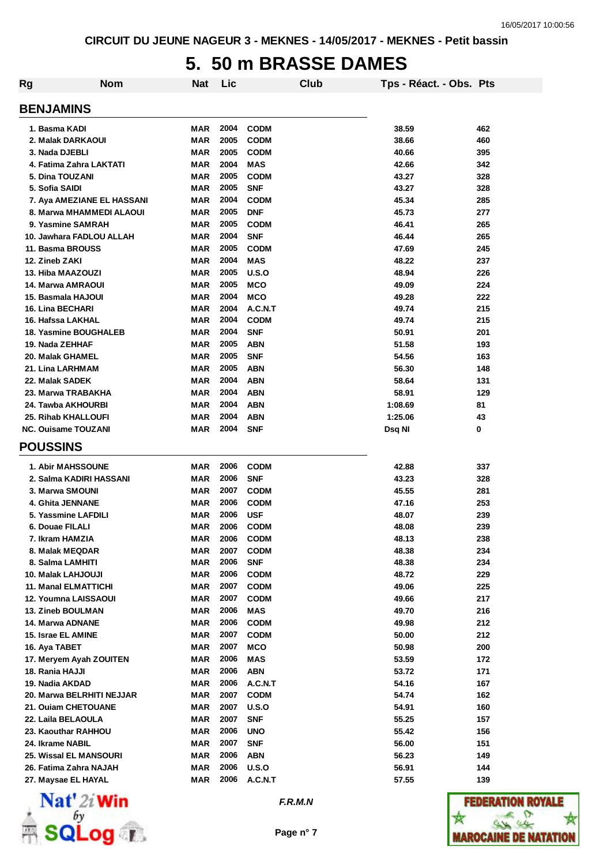#### **5. 50 m BRASSE DAMES**

| <b>Rg</b><br><b>Nom</b>       | <b>Nat</b> | Lic  |              | Club | Tps - Réact. - Obs. Pts |     |
|-------------------------------|------------|------|--------------|------|-------------------------|-----|
| <b>BENJAMINS</b>              |            |      |              |      |                         |     |
| 1. Basma KADI                 | MAR        | 2004 | <b>CODM</b>  |      | 38.59                   | 462 |
| 2. Malak DARKAOUI             | MAR        | 2005 | <b>CODM</b>  |      | 38.66                   | 460 |
| 3. Nada DJEBLI                | <b>MAR</b> | 2005 | <b>CODM</b>  |      | 40.66                   | 395 |
| 4. Fatima Zahra LAKTATI       | <b>MAR</b> | 2004 | <b>MAS</b>   |      | 42.66                   | 342 |
| 5. Dina TOUZANI               | <b>MAR</b> | 2005 | <b>CODM</b>  |      | 43.27                   | 328 |
| 5. Sofia SAIDI                | <b>MAR</b> | 2005 | <b>SNF</b>   |      | 43.27                   | 328 |
| 7. Aya AMEZIANE EL HASSANI    | <b>MAR</b> | 2004 | <b>CODM</b>  |      | 45.34                   | 285 |
| 8. Marwa MHAMMEDI ALAOUI      | <b>MAR</b> | 2005 | <b>DNF</b>   |      | 45.73                   | 277 |
| 9. Yasmine SAMRAH             | MAR        | 2005 | <b>CODM</b>  |      | 46.41                   | 265 |
| 10. Jawhara FADLOU ALLAH      | MAR        | 2004 | <b>SNF</b>   |      | 46.44                   | 265 |
| 11. Basma BROUSS              | <b>MAR</b> | 2005 | <b>CODM</b>  |      | 47.69                   | 245 |
| 12. Zineb ZAKI                | <b>MAR</b> | 2004 | <b>MAS</b>   |      | 48.22                   | 237 |
| 13. Hiba MAAZOUZI             | <b>MAR</b> | 2005 | U.S.O        |      | 48.94                   | 226 |
| 14. Marwa AMRAOUI             | <b>MAR</b> | 2005 | <b>MCO</b>   |      | 49.09                   | 224 |
| 15. Basmala HAJOUI            | <b>MAR</b> | 2004 | <b>MCO</b>   |      | 49.28                   | 222 |
| <b>16. Lina BECHARI</b>       | MAR        | 2004 | A.C.N.T      |      | 49.74                   | 215 |
| 16. Hafssa LAKHAL             | MAR        | 2004 | <b>CODM</b>  |      | 49.74                   | 215 |
| 18. Yasmine BOUGHALEB         | MAR        | 2004 | <b>SNF</b>   |      | 50.91                   | 201 |
| 19. Nada ZEHHAF               | MAR        | 2005 | ABN          |      | 51.58                   | 193 |
| 20. Malak GHAMEL              | MAR        | 2005 | <b>SNF</b>   |      | 54.56                   | 163 |
| 21. Lina LARHMAM              | MAR        | 2005 | <b>ABN</b>   |      | 56.30                   | 148 |
| 22. Malak SADEK               | MAR        | 2004 | <b>ABN</b>   |      | 58.64                   | 131 |
| 23. Marwa TRABAKHA            | <b>MAR</b> | 2004 | <b>ABN</b>   |      | 58.91                   | 129 |
| 24. Tawba AKHOURBI            | MAR        | 2004 | <b>ABN</b>   |      | 1:08.69                 | 81  |
| 25. Rihab KHALLOUFI           | MAR        | 2004 | ABN          |      | 1:25.06                 | 43  |
| <b>NC. Ouisame TOUZANI</b>    | MAR        | 2004 | <b>SNF</b>   |      | Dsq NI                  | 0   |
| <b>POUSSINS</b>               |            |      |              |      |                         |     |
| <b>1. Abir MAHSSOUNE</b>      | MAR        | 2006 | <b>CODM</b>  |      | 42.88                   | 337 |
| 2. Salma KADIRI HASSANI       | MAR        | 2006 | <b>SNF</b>   |      | 43.23                   | 328 |
| 3. Marwa SMOUNI               | MAR        | 2007 | <b>CODM</b>  |      | 45.55                   | 281 |
| 4. Ghita JENNANE              | MAR        | 2006 | <b>CODM</b>  |      | 47.16                   | 253 |
| 5. Yassmine LAFDILI           | <b>MAR</b> | 2006 | <b>USF</b>   |      | 48.07                   | 239 |
| 6. Douae FILALI               | <b>MAR</b> | 2006 | <b>CODM</b>  |      | 48.08                   | 239 |
| 7. Ikram HAMZIA               | MAR        | 2006 | <b>CODM</b>  |      | 48.13                   | 238 |
| 8. Malak MEQDAR               | MAR        | 2007 | <b>CODM</b>  |      | 48.38                   | 234 |
| 8. Salma LAMHITI              | MAR        | 2006 | <b>SNF</b>   |      | 48.38                   | 234 |
| 10. Malak LAHJOUJI            | <b>MAR</b> | 2006 | <b>CODM</b>  |      | 48.72                   | 229 |
| 11. Manal ELMATTICHI          | <b>MAR</b> | 2007 | <b>CODM</b>  |      | 49.06                   | 225 |
| 12. Youmna LAISSAOUI          | MAR        | 2007 | <b>CODM</b>  |      | 49.66                   | 217 |
| <b>13. Zineb BOULMAN</b>      | MAR        | 2006 | MAS          |      | 49.70                   | 216 |
| 14. Marwa ADNANE              | MAR        | 2006 | <b>CODM</b>  |      | 49.98                   | 212 |
| 15. Israe EL AMINE            | MAR        | 2007 | <b>CODM</b>  |      | 50.00                   | 212 |
| 16. Aya TABET                 | <b>MAR</b> | 2007 | <b>MCO</b>   |      | 50.98                   | 200 |
| 17. Meryem Ayah ZOUITEN       | MAR        | 2006 | MAS          |      | 53.59                   | 172 |
| 18. Rania HAJJI               | MAR        | 2006 | <b>ABN</b>   |      | 53.72                   | 171 |
| 19. Nadia AKDAD               | MAR        | 2006 | A.C.N.T      |      | 54.16                   | 167 |
| 20. Marwa BELRHITI NEJJAR     | MAR        | 2007 | <b>CODM</b>  |      | 54.74                   | 162 |
| 21. Ouiam CHETOUANE           | MAR        | 2007 | U.S.O        |      | 54.91                   | 160 |
| 22. Laila BELAOULA            | MAR        | 2007 | <b>SNF</b>   |      | 55.25                   | 157 |
| 23. Kaouthar RAHHOU           | MAR        | 2006 | <b>UNO</b>   |      | 55.42                   | 156 |
| 24. Ikrame NABIL              | MAR        | 2007 | SNF          |      | 56.00                   | 151 |
| <b>25. Wissal EL MANSOURI</b> | MAR        | 2006 | ABN          |      | 56.23                   | 149 |
| 26. Fatima Zahra NAJAH        | MAR        | 2006 | <b>U.S.O</b> |      | 56.91                   | 144 |
| 27. Maysae EL HAYAL           | MAR        | 2006 | A.C.N.T      |      | 57.55                   | 139 |



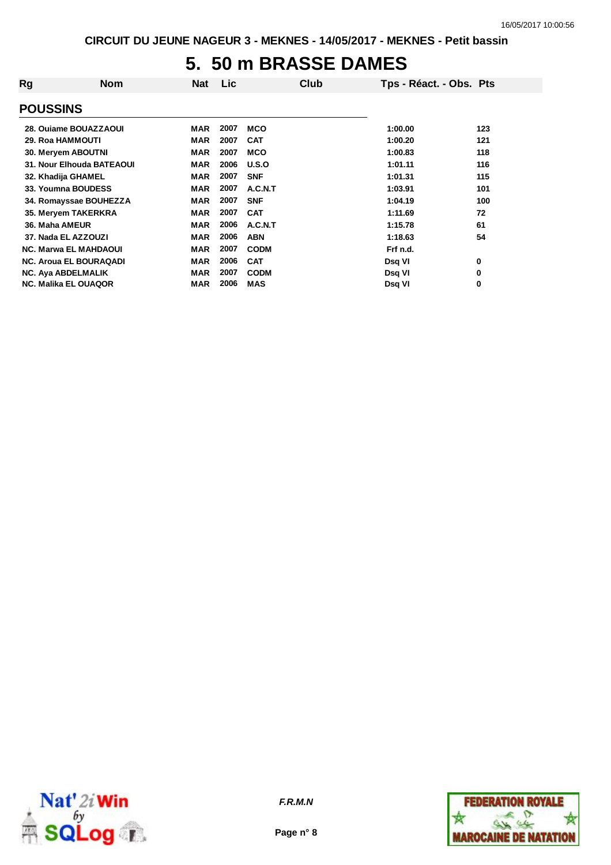#### **5. 50 m BRASSE DAMES**

| Rg              | <b>Nom</b>                    | <b>Nat</b> | <b>Lic</b> | Club        | Tps - Réact. - Obs. Pts |     |
|-----------------|-------------------------------|------------|------------|-------------|-------------------------|-----|
| <b>POUSSINS</b> |                               |            |            |             |                         |     |
|                 | 28. Oujame BOUAZZAOUI         | <b>MAR</b> | 2007       | <b>MCO</b>  | 1:00.00                 | 123 |
|                 | <b>29. Roa HAMMOUTI</b>       | <b>MAR</b> | 2007       | <b>CAT</b>  | 1:00.20                 | 121 |
|                 | 30. Meryem ABOUTNI            | <b>MAR</b> | 2007       | <b>MCO</b>  | 1:00.83                 | 118 |
|                 | 31. Nour Elhouda BATEAOUI     | <b>MAR</b> | 2006       | U.S.O       | 1:01.11                 | 116 |
|                 | 32. Khadija GHAMEL            | <b>MAR</b> | 2007       | <b>SNF</b>  | 1:01.31                 | 115 |
|                 | 33. Youmna BOUDESS            | <b>MAR</b> | 2007       | A.C.N.T     | 1:03.91                 | 101 |
|                 | 34. Romayssae BOUHEZZA        | <b>MAR</b> | 2007       | <b>SNF</b>  | 1:04.19                 | 100 |
|                 | 35. Meryem TAKERKRA           | <b>MAR</b> | 2007       | <b>CAT</b>  | 1:11.69                 | 72  |
| 36. Maha AMEUR  |                               | <b>MAR</b> | 2006       | A.C.N.T     | 1:15.78                 | 61  |
|                 | 37. Nada EL AZZOUZI           | <b>MAR</b> | 2006       | <b>ABN</b>  | 1:18.63                 | 54  |
|                 | <b>NC. Marwa EL MAHDAOUI</b>  | <b>MAR</b> | 2007       | <b>CODM</b> | Frf n.d.                |     |
|                 | <b>NC. Aroua EL BOURAQADI</b> | <b>MAR</b> | 2006       | <b>CAT</b>  | Dsq VI                  | 0   |
|                 | <b>NC. Aya ABDELMALIK</b>     | <b>MAR</b> | 2007       | <b>CODM</b> | Dsq VI                  | 0   |
|                 | <b>NC. Malika EL OUAQOR</b>   | <b>MAR</b> | 2006       | <b>MAS</b>  | Dsq VI                  | 0   |
|                 |                               |            |            |             |                         |     |



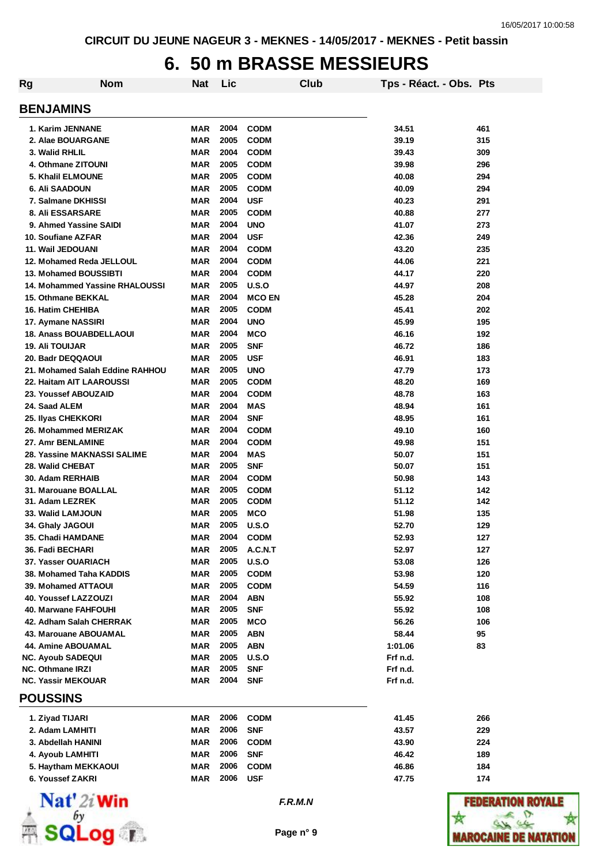# **6. 50 m BRASSE MESSIEURS**

| Rg                         | <b>Nom</b>                      | <b>Nat</b> | Lic  |               | Club | Tps - Réact. - Obs. Pts |     |
|----------------------------|---------------------------------|------------|------|---------------|------|-------------------------|-----|
| <b>BENJAMINS</b>           |                                 |            |      |               |      |                         |     |
| 1. Karim JENNANE           |                                 | MAR        | 2004 | <b>CODM</b>   |      | 34.51                   | 461 |
| 2. Alae BOUARGANE          |                                 | <b>MAR</b> | 2005 | <b>CODM</b>   |      | 39.19                   | 315 |
| 3. Walid RHLIL             |                                 | MAR        | 2004 | <b>CODM</b>   |      | 39.43                   | 309 |
| 4. Othmane ZITOUNI         |                                 | <b>MAR</b> | 2005 | <b>CODM</b>   |      | 39.98                   | 296 |
| 5. Khalil ELMOUNE          |                                 | <b>MAR</b> | 2005 | <b>CODM</b>   |      | 40.08                   | 294 |
| <b>6. Ali SAADOUN</b>      |                                 | MAR        | 2005 | <b>CODM</b>   |      | 40.09                   | 294 |
| 7. Salmane DKHISSI         |                                 | MAR        | 2004 | <b>USF</b>    |      | 40.23                   | 291 |
| <b>8. Ali ESSARSARE</b>    |                                 | MAR        | 2005 | <b>CODM</b>   |      | 40.88                   | 277 |
|                            | 9. Ahmed Yassine SAIDI          | MAR        | 2004 | <b>UNO</b>    |      | 41.07                   | 273 |
| 10. Soufiane AZFAR         |                                 | MAR        | 2004 | <b>USF</b>    |      | 42.36                   | 249 |
| 11. Wail JEDOUANI          |                                 | MAR        | 2004 | <b>CODM</b>   |      | 43.20                   | 235 |
|                            | 12. Mohamed Reda JELLOUL        | <b>MAR</b> | 2004 | <b>CODM</b>   |      | 44.06                   | 221 |
|                            | 13. Mohamed BOUSSIBTI           | <b>MAR</b> | 2004 | <b>CODM</b>   |      | 44.17                   | 220 |
|                            | 14. Mohammed Yassine RHALOUSSI  | MAR        | 2005 | U.S.O         |      | 44.97                   | 208 |
| <b>15. Othmane BEKKAL</b>  |                                 | <b>MAR</b> | 2004 | <b>MCO EN</b> |      | 45.28                   | 204 |
| <b>16. Hatim CHEHIBA</b>   |                                 | MAR        | 2005 | <b>CODM</b>   |      | 45.41                   | 202 |
| 17. Aymane NASSIRI         |                                 | MAR        | 2004 | <b>UNO</b>    |      | 45.99                   | 195 |
|                            | <b>18. Anass BOUABDELLAOUI</b>  | MAR        | 2004 | MCO           |      | 46.16                   | 192 |
| <b>19. Ali TOUIJAR</b>     |                                 | MAR        | 2005 | <b>SNF</b>    |      | 46.72                   | 186 |
| 20. Badr DEQQAOUI          |                                 | MAR        | 2005 | <b>USF</b>    |      | 46.91                   | 183 |
|                            | 21. Mohamed Salah Eddine RAHHOU | MAR        | 2005 | <b>UNO</b>    |      | 47.79                   | 173 |
|                            | 22. Haitam AIT LAAROUSSI        | MAR        | 2005 | <b>CODM</b>   |      | 48.20                   | 169 |
| 23. Youssef ABOUZAID       |                                 | MAR        | 2004 | <b>CODM</b>   |      | 48.78                   | 163 |
| 24. Saad ALEM              |                                 | MAR        | 2004 | MAS           |      | 48.94                   | 161 |
| 25. Ilyas CHEKKORI         |                                 | <b>MAR</b> | 2004 | <b>SNF</b>    |      | 48.95                   | 161 |
|                            | 26. Mohammed MERIZAK            | <b>MAR</b> | 2004 | <b>CODM</b>   |      | 49.10                   | 160 |
| 27. Amr BENLAMINE          |                                 | <b>MAR</b> | 2004 | <b>CODM</b>   |      | 49.98                   | 151 |
|                            | 28. Yassine MAKNASSI SALIME     | MAR        | 2004 | <b>MAS</b>    |      | 50.07                   | 151 |
| 28. Walid CHEBAT           |                                 | MAR        | 2005 | <b>SNF</b>    |      | 50.07                   | 151 |
| 30. Adam RERHAIB           |                                 | MAR        | 2004 | <b>CODM</b>   |      | 50.98                   | 143 |
| 31. Marouane BOALLAL       |                                 | MAR        | 2005 | <b>CODM</b>   |      | 51.12                   | 142 |
| 31. Adam LEZREK            |                                 | MAR        | 2005 | <b>CODM</b>   |      | 51.12                   | 142 |
| 33. Walid LAMJOUN          |                                 | MAR        | 2005 | <b>MCO</b>    |      | 51.98                   | 135 |
| 34. Ghaly JAGOUI           |                                 | MAR        | 2005 | U.S.O         |      | 52.70                   | 129 |
| 35. Chadi HAMDANE          |                                 | <b>MAR</b> | 2004 | <b>CODM</b>   |      | 52.93                   | 127 |
| 36. Fadi BECHARI           |                                 | MAR        | 2005 | A.C.N.T       |      | 52.97                   | 127 |
| 37. Yasser OUARIACH        |                                 | MAR        | 2005 | <b>U.S.O</b>  |      | 53.08                   | 126 |
|                            | 38. Mohamed Taha KADDIS         | MAR        | 2005 | <b>CODM</b>   |      | 53.98                   | 120 |
| <b>39. Mohamed ATTAOUI</b> |                                 | MAR        | 2005 | <b>CODM</b>   |      | 54.59                   | 116 |
| 40. Youssef LAZZOUZI       |                                 | MAR        | 2004 | <b>ABN</b>    |      | 55.92                   | 108 |
| 40. Marwane FAHFOUHI       |                                 | MAR        | 2005 | <b>SNF</b>    |      | 55.92                   | 108 |
|                            | 42. Adham Salah CHERRAK         | MAR        | 2005 | <b>MCO</b>    |      | 56.26                   | 106 |
|                            | 43. Marouane ABOUAMAL           | <b>MAR</b> | 2005 | <b>ABN</b>    |      | 58.44                   | 95  |
| <b>44. Amine ABOUAMAL</b>  |                                 | <b>MAR</b> | 2005 | <b>ABN</b>    |      | 1:01.06                 | 83  |
| <b>NC. Ayoub SADEQUI</b>   |                                 | MAR        | 2005 | U.S.O         |      | Frf n.d.                |     |
| <b>NC. Othmane IRZI</b>    |                                 | MAR        | 2005 | <b>SNF</b>    |      | Frf n.d.                |     |
| <b>NC. Yassir MEKOUAR</b>  |                                 | MAR        | 2004 | <b>SNF</b>    |      | Frf n.d.                |     |
| <b>POUSSINS</b>            |                                 |            |      |               |      |                         |     |
| 1. Ziyad TIJARI            |                                 | MAR        | 2006 | <b>CODM</b>   |      | 41.45                   | 266 |
| 2. Adam LAMHITI            |                                 | MAR        | 2006 | <b>SNF</b>    |      | 43.57                   | 229 |
| 3. Abdellah HANINI         |                                 | <b>MAR</b> | 2006 | <b>CODM</b>   |      | 43.90                   | 224 |
| 4. Ayoub LAMHITI           |                                 | <b>MAR</b> | 2006 | <b>SNF</b>    |      | 46.42                   | 189 |
|                            | 5. Haytham MEKKAOUI             | <b>MAR</b> | 2006 | <b>CODM</b>   |      | 46.86                   | 184 |
| 6. Youssef ZAKRI           |                                 | MAR        | 2006 | <b>USF</b>    |      | 47.75                   | 174 |
|                            |                                 |            |      |               |      |                         |     |



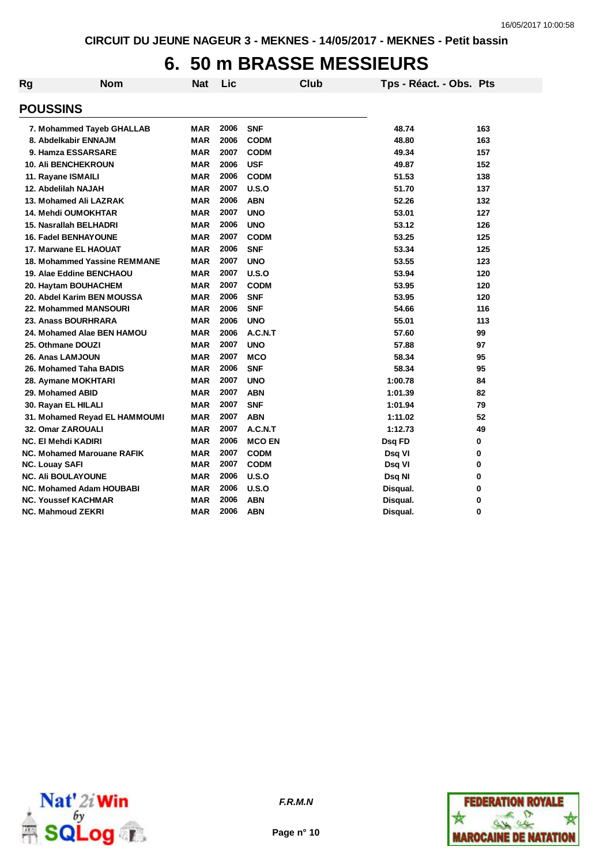# **6. 50 m BRASSE MESSIEURS**

| Rg | <b>Nom</b>                      | <b>Nat</b> | Lic  |               | <b>Club</b> | Tps - Réact. - Obs. Pts |     |
|----|---------------------------------|------------|------|---------------|-------------|-------------------------|-----|
|    | <b>POUSSINS</b>                 |            |      |               |             |                         |     |
|    | 7. Mohammed Tayeb GHALLAB       | <b>MAR</b> | 2006 | <b>SNF</b>    |             | 48.74                   | 163 |
|    | 8. Abdelkabir ENNAJM            | <b>MAR</b> | 2006 | <b>CODM</b>   |             | 48.80                   | 163 |
|    | 9. Hamza ESSARSARE              | <b>MAR</b> | 2007 | <b>CODM</b>   |             | 49.34                   | 157 |
|    | <b>10. Ali BENCHEKROUN</b>      | <b>MAR</b> | 2006 | <b>USF</b>    |             | 49.87                   | 152 |
|    | 11. Rayane ISMAILI              | <b>MAR</b> | 2006 | <b>CODM</b>   |             | 51.53                   | 138 |
|    | 12. Abdelilah NAJAH             | <b>MAR</b> | 2007 | U.S.O         |             | 51.70                   | 137 |
|    | 13. Mohamed Ali LAZRAK          | <b>MAR</b> | 2006 | <b>ABN</b>    |             | 52.26                   | 132 |
|    | <b>14. Mehdi OUMOKHTAR</b>      | <b>MAR</b> | 2007 | <b>UNO</b>    |             | 53.01                   | 127 |
|    | 15. Nasrallah BELHADRI          | <b>MAR</b> | 2006 | <b>UNO</b>    |             | 53.12                   | 126 |
|    | <b>16. Fadel BENHAYOUNE</b>     | <b>MAR</b> | 2007 | <b>CODM</b>   |             | 53.25                   | 125 |
|    | 17. Marwane EL HAOUAT           | <b>MAR</b> | 2006 | <b>SNF</b>    |             | 53.34                   | 125 |
|    | 18. Mohammed Yassine REMMANE    | <b>MAR</b> | 2007 | <b>UNO</b>    |             | 53.55                   | 123 |
|    | 19. Alae Eddine BENCHAOU        | <b>MAR</b> | 2007 | U.S.O         |             | 53.94                   | 120 |
|    | 20. Haytam BOUHACHEM            | <b>MAR</b> | 2007 | <b>CODM</b>   |             | 53.95                   | 120 |
|    | 20. Abdel Karim BEN MOUSSA      | <b>MAR</b> | 2006 | <b>SNF</b>    |             | 53.95                   | 120 |
|    | 22. Mohammed MANSOURI           | <b>MAR</b> | 2006 | <b>SNF</b>    |             | 54.66                   | 116 |
|    | 23. Anass BOURHRARA             | <b>MAR</b> | 2006 | <b>UNO</b>    |             | 55.01                   | 113 |
|    | 24. Mohamed Alae BEN HAMOU      | <b>MAR</b> | 2006 | A.C.N.T       |             | 57.60                   | 99  |
|    | 25. Othmane DOUZI               | <b>MAR</b> | 2007 | <b>UNO</b>    |             | 57.88                   | 97  |
|    | 26. Anas LAMJOUN                | <b>MAR</b> | 2007 | <b>MCO</b>    |             | 58.34                   | 95  |
|    | 26. Mohamed Taha BADIS          | <b>MAR</b> | 2006 | <b>SNF</b>    |             | 58.34                   | 95  |
|    | 28. Aymane MOKHTARI             | <b>MAR</b> | 2007 | <b>UNO</b>    |             | 1:00.78                 | 84  |
|    | 29. Mohamed ABID                | <b>MAR</b> | 2007 | <b>ABN</b>    |             | 1:01.39                 | 82  |
|    | 30. Rayan EL HILALI             | <b>MAR</b> | 2007 | <b>SNF</b>    |             | 1:01.94                 | 79  |
|    | 31. Mohamed Reyad EL HAMMOUMI   | <b>MAR</b> | 2007 | <b>ABN</b>    |             | 1:11.02                 | 52  |
|    | 32. Omar ZAROUALI               | <b>MAR</b> | 2007 | A.C.N.T       |             | 1:12.73                 | 49  |
|    | <b>NC. El Mehdi KADIRI</b>      | <b>MAR</b> | 2006 | <b>MCO EN</b> |             | Dsq FD                  | 0   |
|    | NC. Mohamed Marouane RAFIK      | MAR        | 2007 | <b>CODM</b>   |             | Dsq VI                  | 0   |
|    | <b>NC. Louay SAFI</b>           | <b>MAR</b> | 2007 | <b>CODM</b>   |             | Dsq VI                  | 0   |
|    | <b>NC. Ali BOULAYOUNE</b>       | <b>MAR</b> | 2006 | U.S.O         |             | Dsq NI                  | 0   |
|    | <b>NC. Mohamed Adam HOUBABI</b> | MAR        | 2006 | U.S.O         |             | Disqual.                | 0   |
|    | <b>NC. Youssef KACHMAR</b>      | MAR        | 2006 | <b>ABN</b>    |             | Disqual.                | 0   |
|    | <b>NC. Mahmoud ZEKRI</b>        | <b>MAR</b> | 2006 | <b>ABN</b>    |             | Disqual.                | 0   |





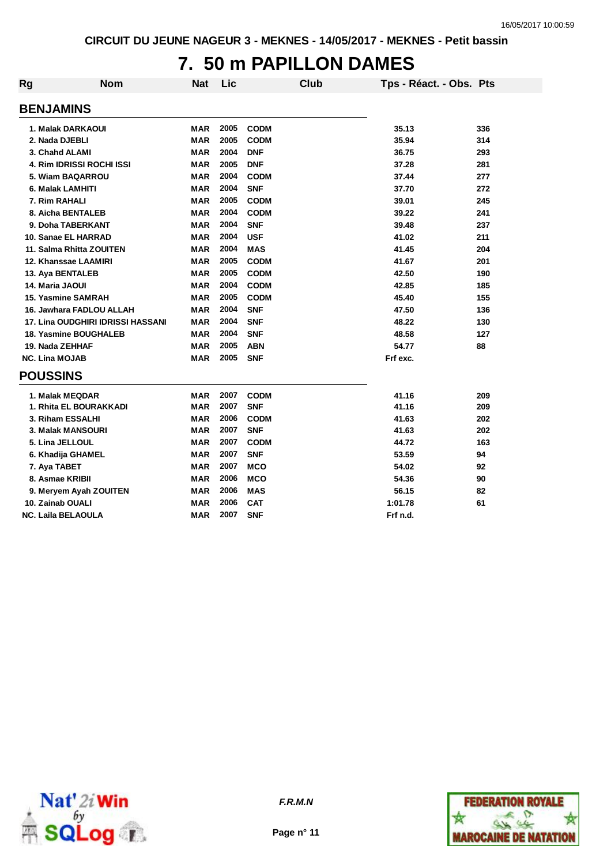#### **7. 50 m PAPILLON DAMES**

| Rg                    | <b>Nom</b>                               | <b>Nat</b> | Lic  |             | Club | Tps - Réact. - Obs. Pts |     |
|-----------------------|------------------------------------------|------------|------|-------------|------|-------------------------|-----|
| <b>BENJAMINS</b>      |                                          |            |      |             |      |                         |     |
|                       | 1. Malak DARKAOUI                        | <b>MAR</b> | 2005 | <b>CODM</b> |      | 35.13                   | 336 |
| 2. Nada DJEBLI        |                                          | <b>MAR</b> | 2005 | <b>CODM</b> |      | 35.94                   | 314 |
|                       | 3. Chahd ALAMI                           | <b>MAR</b> | 2004 | <b>DNF</b>  |      | 36.75                   | 293 |
|                       | 4. Rim IDRISSI ROCHI ISSI                | <b>MAR</b> | 2005 | <b>DNF</b>  |      | 37.28                   | 281 |
|                       | 5. Wiam BAQARROU                         | <b>MAR</b> | 2004 | <b>CODM</b> |      | 37.44                   | 277 |
|                       | 6. Malak LAMHITI                         | <b>MAR</b> | 2004 | <b>SNF</b>  |      | 37.70                   | 272 |
| 7. Rim RAHALI         |                                          | <b>MAR</b> | 2005 | <b>CODM</b> |      | 39.01                   | 245 |
|                       | 8. Aicha BENTALEB                        | <b>MAR</b> | 2004 | <b>CODM</b> |      | 39.22                   | 241 |
|                       | 9. Doha TABERKANT                        | <b>MAR</b> | 2004 | <b>SNF</b>  |      | 39.48                   | 237 |
|                       | 10. Sanae EL HARRAD                      | <b>MAR</b> | 2004 | <b>USF</b>  |      | 41.02                   | 211 |
|                       | 11. Salma Rhitta ZOUITEN                 | <b>MAR</b> | 2004 | <b>MAS</b>  |      | 41.45                   | 204 |
|                       | 12. Khanssae LAAMIRI                     | <b>MAR</b> | 2005 | <b>CODM</b> |      | 41.67                   | 201 |
|                       | 13. Aya BENTALEB                         | <b>MAR</b> | 2005 | <b>CODM</b> |      | 42.50                   | 190 |
| 14. Maria JAOUI       |                                          | <b>MAR</b> | 2004 | <b>CODM</b> |      | 42.85                   | 185 |
|                       | 15. Yasmine SAMRAH                       | <b>MAR</b> | 2005 | <b>CODM</b> |      | 45.40                   | 155 |
|                       | 16. Jawhara FADLOU ALLAH                 | <b>MAR</b> | 2004 | <b>SNF</b>  |      | 47.50                   | 136 |
|                       | <b>17. Lina OUDGHIRI IDRISSI HASSANI</b> | <b>MAR</b> | 2004 | <b>SNF</b>  |      | 48.22                   | 130 |
|                       | 18. Yasmine BOUGHALEB                    | <b>MAR</b> | 2004 | <b>SNF</b>  |      | 48.58                   | 127 |
| 19. Nada ZEHHAF       |                                          | <b>MAR</b> | 2005 | <b>ABN</b>  |      | 54.77                   | 88  |
| <b>NC. Lina MOJAB</b> |                                          | <b>MAR</b> | 2005 | <b>SNF</b>  |      | Frf exc.                |     |
| <b>POUSSINS</b>       |                                          |            |      |             |      |                         |     |
|                       | 1. Malak MEQDAR                          | <b>MAR</b> | 2007 | <b>CODM</b> |      | 41.16                   | 209 |
|                       | 1. Rhita EL BOURAKKADI                   | MAR        | 2007 | <b>SNF</b>  |      | 41.16                   | 209 |
|                       | 3. Riham ESSALHI                         | MAR        | 2006 | <b>CODM</b> |      | 41.63                   | 202 |
|                       | <b>3. Malak MANSOURI</b>                 | MAR        | 2007 | <b>SNF</b>  |      | 41.63                   | 202 |
|                       | 5. Lina JELLOUL                          | <b>MAR</b> | 2007 | <b>CODM</b> |      | 44.72                   | 163 |
|                       | 6. Khadija GHAMEL                        | <b>MAR</b> | 2007 | <b>SNF</b>  |      | 53.59                   | 94  |
| 7. Aya TABET          |                                          | <b>MAR</b> | 2007 | <b>MCO</b>  |      | 54.02                   | 92  |
|                       | 8. Asmae KRIBII                          | <b>MAR</b> | 2006 | <b>MCO</b>  |      | 54.36                   | 90  |
|                       | 9. Meryem Ayah ZOUITEN                   | MAR        | 2006 | <b>MAS</b>  |      | 56.15                   | 82  |
| 10. Zainab OUALI      |                                          | <b>MAR</b> | 2006 | <b>CAT</b>  |      | 1:01.78                 | 61  |
|                       | <b>NC. Laila BELAOULA</b>                | <b>MAR</b> | 2007 | <b>SNF</b>  |      | Frf n.d.                |     |



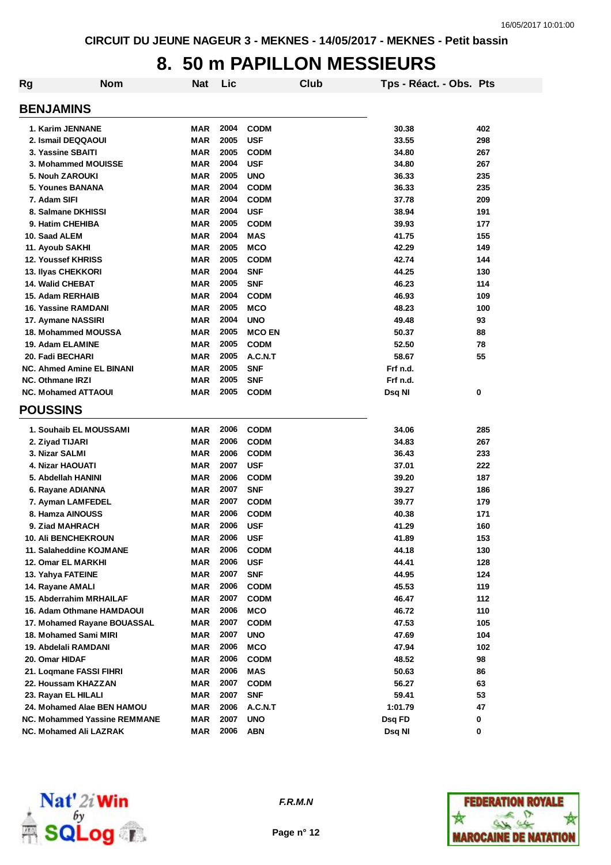## **8. 50 m PAPILLON MESSIEURS**

| Rg | <b>Nom</b>                          | Nat        | Lic  |               | Club | Tps - Réact. - Obs. Pts |     |
|----|-------------------------------------|------------|------|---------------|------|-------------------------|-----|
|    | <b>BENJAMINS</b>                    |            |      |               |      |                         |     |
|    | 1. Karim JENNANE                    | <b>MAR</b> | 2004 | <b>CODM</b>   |      | 30.38                   | 402 |
|    | 2. Ismail DEQQAOUI                  | <b>MAR</b> | 2005 | <b>USF</b>    |      | 33.55                   | 298 |
|    | 3. Yassine SBAITI                   | <b>MAR</b> | 2005 | <b>CODM</b>   |      | 34.80                   | 267 |
|    | 3. Mohammed MOUISSE                 | <b>MAR</b> | 2004 | <b>USF</b>    |      | 34.80                   | 267 |
|    | 5. Nouh ZAROUKI                     | <b>MAR</b> | 2005 | <b>UNO</b>    |      | 36.33                   | 235 |
|    | 5. Younes BANANA                    | <b>MAR</b> | 2004 | <b>CODM</b>   |      | 36.33                   | 235 |
|    | 7. Adam SIFI                        | <b>MAR</b> | 2004 | <b>CODM</b>   |      | 37.78                   | 209 |
|    | 8. Salmane DKHISSI                  | <b>MAR</b> | 2004 | <b>USF</b>    |      | 38.94                   | 191 |
|    | 9. Hatim CHEHIBA                    | <b>MAR</b> | 2005 | <b>CODM</b>   |      | 39.93                   | 177 |
|    | 10. Saad ALEM                       | <b>MAR</b> | 2004 | <b>MAS</b>    |      | 41.75                   | 155 |
|    | 11. Ayoub SAKHI                     | MAR        | 2005 | <b>MCO</b>    |      | 42.29                   | 149 |
|    | 12. Youssef KHRISS                  | MAR        | 2005 | <b>CODM</b>   |      | 42.74                   | 144 |
|    | 13. Ilyas CHEKKORI                  | MAR        | 2004 | <b>SNF</b>    |      | 44.25                   | 130 |
|    | <b>14. Walid CHEBAT</b>             | <b>MAR</b> | 2005 | <b>SNF</b>    |      | 46.23                   | 114 |
|    | 15. Adam RERHAIB                    | <b>MAR</b> | 2004 | <b>CODM</b>   |      | 46.93                   | 109 |
|    | 16. Yassine RAMDANI                 | MAR        | 2005 | <b>MCO</b>    |      | 48.23                   | 100 |
|    | 17. Aymane NASSIRI                  | <b>MAR</b> | 2004 | <b>UNO</b>    |      | 49.48                   | 93  |
|    | 18. Mohammed MOUSSA                 | MAR        | 2005 | <b>MCO EN</b> |      | 50.37                   | 88  |
|    | 19. Adam ELAMINE                    | <b>MAR</b> | 2005 | <b>CODM</b>   |      | 52.50                   | 78  |
|    | 20. Fadi BECHARI                    | <b>MAR</b> | 2005 | A.C.N.T       |      | 58.67                   | 55  |
|    | <b>NC. Ahmed Amine EL BINANI</b>    | <b>MAR</b> | 2005 | <b>SNF</b>    |      | Frf n.d.                |     |
|    | <b>NC. Othmane IRZI</b>             | MAR        | 2005 | <b>SNF</b>    |      | Frf n.d.                |     |
|    | <b>NC. Mohamed ATTAOUI</b>          | <b>MAR</b> | 2005 | <b>CODM</b>   |      | Dsq NI                  | 0   |
|    | <b>POUSSINS</b>                     |            |      |               |      |                         |     |
|    |                                     |            |      |               |      |                         |     |
|    | 1. Souhaib EL MOUSSAMI              | MAR        | 2006 | <b>CODM</b>   |      | 34.06                   | 285 |
|    | 2. Ziyad TIJARI                     | <b>MAR</b> | 2006 | <b>CODM</b>   |      | 34.83                   | 267 |
|    | 3. Nizar SALMI                      | <b>MAR</b> | 2006 | <b>CODM</b>   |      | 36.43                   | 233 |
|    | 4. Nizar HAOUATI                    | <b>MAR</b> | 2007 | <b>USF</b>    |      | 37.01                   | 222 |
|    | 5. Abdellah HANINI                  | <b>MAR</b> | 2006 | <b>CODM</b>   |      | 39.20                   | 187 |
|    | 6. Rayane ADIANNA                   | <b>MAR</b> | 2007 | <b>SNF</b>    |      | 39.27                   | 186 |
|    | 7. Ayman LAMFEDEL                   | MAR        | 2007 | <b>CODM</b>   |      | 39.77                   | 179 |
|    | 8. Hamza AINOUSS                    | <b>MAR</b> | 2006 | <b>CODM</b>   |      | 40.38                   | 171 |
|    | 9. Ziad MAHRACH                     | MAR        | 2006 | <b>USF</b>    |      | 41.29                   | 160 |
|    | 10. Ali BENCHEKROUN                 | MAR        | 2006 | <b>USF</b>    |      | 41.89                   | 153 |
|    | 11. Salaheddine KOJMANE             | MAR        | 2006 | <b>CODM</b>   |      | 44.18                   | 130 |
|    | 12. Omar EL MARKHI                  | MAR        | 2006 | <b>USF</b>    |      | 44.41                   | 128 |
|    | 13. Yahya FATEINE                   | MAR        | 2007 | <b>SNF</b>    |      | 44.95                   | 124 |
|    | 14. Rayane AMALI                    | MAR        | 2006 | <b>CODM</b>   |      | 45.53                   | 119 |
|    | 15. Abderrahim MRHAILAF             | MAR        | 2007 | <b>CODM</b>   |      | 46.47                   | 112 |
|    | 16. Adam Othmane HAMDAOUI           | MAR        | 2006 | <b>MCO</b>    |      | 46.72                   | 110 |
|    | 17. Mohamed Rayane BOUASSAL         | MAR        | 2007 | <b>CODM</b>   |      | 47.53                   | 105 |
|    | 18. Mohamed Sami MIRI               | MAR        | 2007 | <b>UNO</b>    |      | 47.69                   | 104 |
|    | 19. Abdelali RAMDANI                | MAR        | 2006 | <b>MCO</b>    |      | 47.94                   | 102 |
|    | 20. Omar HIDAF                      | MAR        | 2006 | <b>CODM</b>   |      | 48.52                   | 98  |
|    | 21. Loqmane FASSI FIHRI             | MAR        | 2006 | MAS           |      | 50.63                   | 86  |
|    | 22. Houssam KHAZZAN                 | MAR        | 2007 | <b>CODM</b>   |      | 56.27                   | 63  |
|    | 23. Rayan EL HILALI                 | MAR        | 2007 | <b>SNF</b>    |      | 59.41                   | 53  |
|    | 24. Mohamed Alae BEN HAMOU          | MAR        | 2006 | A.C.N.T       |      | 1:01.79                 | 47  |
|    | <b>NC. Mohammed Yassine REMMANE</b> | MAR        | 2007 | <b>UNO</b>    |      | Dsq FD                  | 0   |
|    | NC. Mohamed Ali LAZRAK              | MAR        | 2006 | ABN           |      | Dsq NI                  | 0   |



*F.R.M.N*

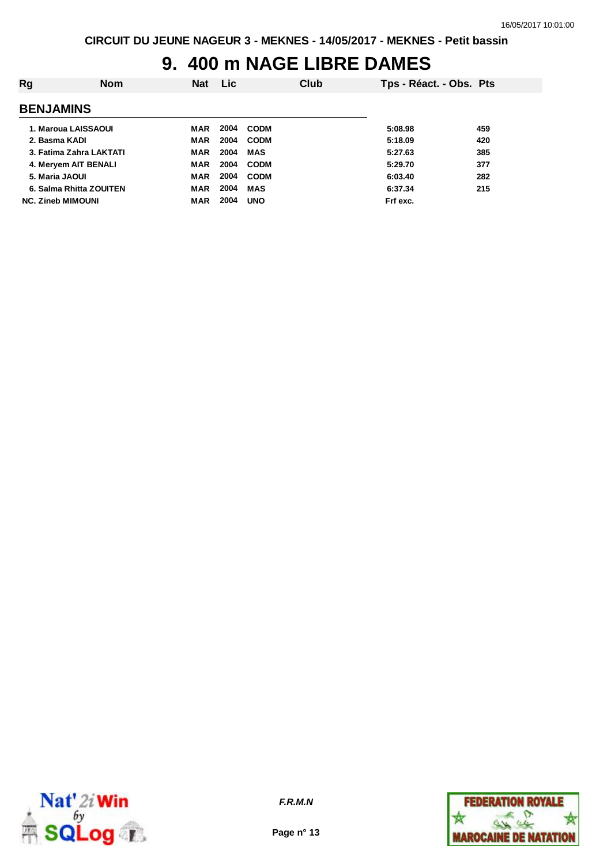# **9. 400 m NAGE LIBRE DAMES**

| Rg                       | <b>Nom</b> | <b>Nat</b> | <b>Lic</b> |             | Club | Tps - Réact. - Obs. Pts |     |
|--------------------------|------------|------------|------------|-------------|------|-------------------------|-----|
| <b>BENJAMINS</b>         |            |            |            |             |      |                         |     |
| 1. Maroua LAISSAOUI      |            | MAR        | 2004       | <b>CODM</b> |      | 5:08.98                 | 459 |
| 2. Basma KADI            |            | <b>MAR</b> | 2004       | <b>CODM</b> |      | 5:18.09                 | 420 |
| 3. Fatima Zahra LAKTATI  |            | MAR        | 2004       | MAS         |      | 5:27.63                 | 385 |
| 4. Meryem AIT BENALI     |            | <b>MAR</b> | 2004       | <b>CODM</b> |      | 5:29.70                 | 377 |
| 5. Maria JAOUI           |            | MAR        | 2004       | <b>CODM</b> |      | 6:03.40                 | 282 |
| 6. Salma Rhitta ZOUITEN  |            | MAR        | 2004       | <b>MAS</b>  |      | 6:37.34                 | 215 |
| <b>NC. Zineb MIMOUNI</b> |            | <b>MAR</b> | 2004       | <b>UNO</b>  |      | Frf exc.                |     |



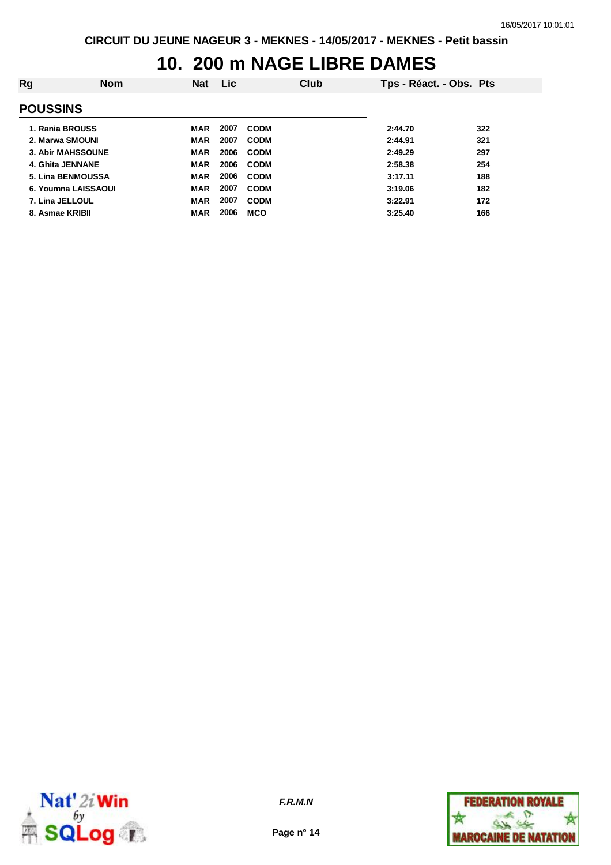# **10. 200 m NAGE LIBRE DAMES**

| Rg | <b>Nom</b>               | <b>Nat</b> | <b>Lic</b> |             | Club | Tps - Réact. - Obs. Pts |     |
|----|--------------------------|------------|------------|-------------|------|-------------------------|-----|
|    | <b>POUSSINS</b>          |            |            |             |      |                         |     |
|    | 1. Rania BROUSS          | MAR        | 2007       | <b>CODM</b> |      | 2:44.70                 | 322 |
|    | 2. Marwa SMOUNI          | MAR        | 2007       | <b>CODM</b> |      | 2:44.91                 | 321 |
|    | <b>3. Abir MAHSSOUNE</b> | <b>MAR</b> | 2006       | <b>CODM</b> |      | 2:49.29                 | 297 |
|    | 4. Ghita JENNANE         | <b>MAR</b> | 2006       | <b>CODM</b> |      | 2:58.38                 | 254 |
|    | 5. Lina BENMOUSSA        | <b>MAR</b> | 2006       | <b>CODM</b> |      | 3:17.11                 | 188 |
|    | 6. Youmna LAISSAOUI      | <b>MAR</b> | 2007       | <b>CODM</b> |      | 3:19.06                 | 182 |
|    | 7. Lina JELLOUL          | <b>MAR</b> | 2007       | <b>CODM</b> |      | 3:22.91                 | 172 |
|    | 8. Asmae KRIBII          | <b>MAR</b> | 2006       | <b>MCO</b>  |      | 3:25.40                 | 166 |
|    |                          |            |            |             |      |                         |     |



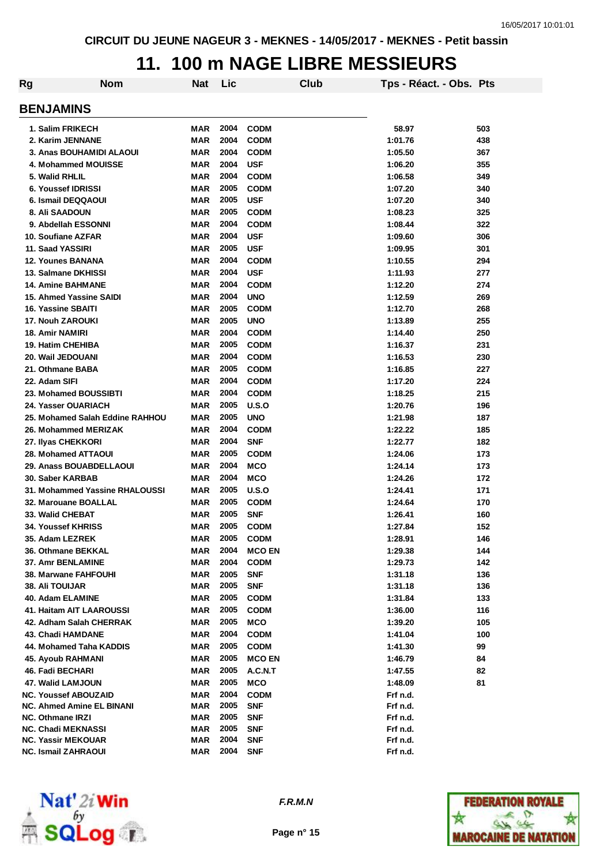#### **11. 100 m NAGE LIBRE MESSIEURS**

| Rg | <b>Nom</b>                       | <b>Nat</b> | Lic  | Club          | Tps - Réact. - Obs. Pts |     |
|----|----------------------------------|------------|------|---------------|-------------------------|-----|
|    | <b>BENJAMINS</b>                 |            |      |               |                         |     |
|    | 1. Salim FRIKECH                 | MAR        | 2004 | <b>CODM</b>   | 58.97                   | 503 |
|    | 2. Karim JENNANE                 | <b>MAR</b> | 2004 | <b>CODM</b>   | 1:01.76                 | 438 |
|    | 3. Anas BOUHAMIDI ALAOUI         | MAR        | 2004 | <b>CODM</b>   | 1:05.50                 | 367 |
|    | 4. Mohammed MOUISSE              | <b>MAR</b> | 2004 | <b>USF</b>    | 1:06.20                 | 355 |
|    | 5. Walid RHLIL                   | <b>MAR</b> | 2004 | <b>CODM</b>   | 1:06.58                 | 349 |
|    | <b>6. Youssef IDRISSI</b>        | <b>MAR</b> | 2005 | <b>CODM</b>   | 1:07.20                 | 340 |
|    | 6. Ismail DEQQAOUI               | <b>MAR</b> | 2005 | <b>USF</b>    | 1:07.20                 | 340 |
|    | 8. Ali SAADOUN                   | <b>MAR</b> | 2005 | <b>CODM</b>   | 1:08.23                 | 325 |
|    | 9. Abdellah ESSONNI              | <b>MAR</b> | 2004 | <b>CODM</b>   | 1:08.44                 | 322 |
|    | 10. Soufiane AZFAR               | <b>MAR</b> | 2004 | <b>USF</b>    | 1:09.60                 | 306 |
|    | 11. Saad YASSIRI                 | <b>MAR</b> | 2005 | <b>USF</b>    | 1:09.95                 | 301 |
|    | <b>12. Younes BANANA</b>         | <b>MAR</b> | 2004 | <b>CODM</b>   | 1:10.55                 | 294 |
|    | 13. Salmane DKHISSI              | <b>MAR</b> | 2004 | <b>USF</b>    | 1:11.93                 | 277 |
|    | <b>14. Amine BAHMANE</b>         | <b>MAR</b> | 2004 | <b>CODM</b>   | 1:12.20                 | 274 |
|    | 15. Ahmed Yassine SAIDI          | <b>MAR</b> | 2004 | <b>UNO</b>    | 1:12.59                 | 269 |
|    | 16. Yassine SBAITI               | <b>MAR</b> | 2005 | <b>CODM</b>   | 1:12.70                 | 268 |
|    | <b>17. Nouh ZAROUKI</b>          | <b>MAR</b> | 2005 | <b>UNO</b>    | 1:13.89                 | 255 |
|    | <b>18. Amir NAMIRI</b>           | <b>MAR</b> | 2004 | <b>CODM</b>   | 1:14.40                 | 250 |
|    | <b>19. Hatim CHEHIBA</b>         | <b>MAR</b> | 2005 | <b>CODM</b>   | 1:16.37                 | 231 |
|    | 20. Wail JEDOUANI                | <b>MAR</b> | 2004 | <b>CODM</b>   | 1:16.53                 | 230 |
|    | 21. Othmane BABA                 | <b>MAR</b> | 2005 | <b>CODM</b>   | 1:16.85                 | 227 |
|    | 22. Adam SIFI                    | <b>MAR</b> | 2004 | <b>CODM</b>   | 1:17.20                 | 224 |
|    | 23. Mohamed BOUSSIBTI            | <b>MAR</b> | 2004 | <b>CODM</b>   | 1:18.25                 | 215 |
|    | 24. Yasser OUARIACH              | <b>MAR</b> | 2005 | U.S.O         | 1:20.76                 | 196 |
|    | 25. Mohamed Salah Eddine RAHHOU  | MAR        | 2005 | <b>UNO</b>    | 1:21.98                 | 187 |
|    | 26. Mohammed MERIZAK             | MAR        | 2004 | <b>CODM</b>   | 1:22.22                 | 185 |
|    | 27. Ilyas CHEKKORI               | MAR        | 2004 | <b>SNF</b>    | 1:22.77                 | 182 |
|    | <b>28. Mohamed ATTAOUI</b>       | MAR        | 2005 | <b>CODM</b>   | 1:24.06                 | 173 |
|    | 29. Anass BOUABDELLAOUI          | MAR        | 2004 | <b>MCO</b>    | 1:24.14                 | 173 |
|    | 30. Saber KARBAB                 | MAR        | 2004 | <b>MCO</b>    | 1:24.26                 | 172 |
|    | 31. Mohammed Yassine RHALOUSSI   | MAR        | 2005 | U.S.O         | 1:24.41                 | 171 |
|    | 32. Marouane BOALLAL             | MAR        | 2005 | <b>CODM</b>   | 1:24.64                 | 170 |
|    | 33. Walid CHEBAT                 | MAR        | 2005 | <b>SNF</b>    | 1:26.41                 | 160 |
|    | <b>34. Youssef KHRISS</b>        | <b>MAR</b> | 2005 | <b>CODM</b>   | 1:27.84                 | 152 |
|    | 35. Adam LEZREK                  | MAR        | 2005 | <b>CODM</b>   | 1:28.91                 | 146 |
|    | 36. Othmane BEKKAL               | MAR        | 2004 | <b>MCO EN</b> | 1:29.38                 | 144 |
|    | 37. Amr BENLAMINE                | MAR        | 2004 | <b>CODM</b>   | 1:29.73                 | 142 |
|    | <b>38. Marwane FAHFOUHI</b>      | MAR        | 2005 | <b>SNF</b>    | 1:31.18                 | 136 |
|    | <b>38. Ali TOUIJAR</b>           | <b>MAR</b> | 2005 | <b>SNF</b>    | 1:31.18                 | 136 |
|    | 40. Adam ELAMINE                 | MAR        | 2005 | <b>CODM</b>   | 1:31.84                 | 133 |
|    | 41. Haitam AIT LAAROUSSI         | MAR        | 2005 | <b>CODM</b>   | 1:36.00                 | 116 |
|    | 42. Adham Salah CHERRAK          | MAR        | 2005 | <b>MCO</b>    | 1:39.20                 | 105 |
|    | 43. Chadi HAMDANE                | MAR        | 2004 | <b>CODM</b>   | 1:41.04                 | 100 |
|    | 44. Mohamed Taha KADDIS          | MAR        | 2005 | <b>CODM</b>   | 1:41.30                 | 99  |
|    | 45. Ayoub RAHMANI                | MAR        | 2005 | <b>MCO EN</b> | 1:46.79                 | 84  |
|    | 46. Fadi BECHARI                 | <b>MAR</b> | 2005 | A.C.N.T       | 1:47.55                 | 82  |
|    | 47. Walid LAMJOUN                | MAR        | 2005 | <b>MCO</b>    | 1:48.09                 | 81  |
|    | <b>NC. Youssef ABOUZAID</b>      | MAR        | 2004 | <b>CODM</b>   | Frf n.d.                |     |
|    | <b>NC. Ahmed Amine EL BINANI</b> | MAR        | 2005 | <b>SNF</b>    | Frf n.d.                |     |
|    | NC. Othmane IRZI                 | MAR        | 2005 | SNF           | Frf n.d.                |     |
|    | <b>NC. Chadi MEKNASSI</b>        | MAR        | 2005 | SNF           | Frf n.d.                |     |
|    | <b>NC. Yassir MEKOUAR</b>        | MAR        | 2004 | SNF           | Frf n.d.                |     |
|    | <b>NC. Ismail ZAHRAOUI</b>       | MAR        | 2004 | <b>SNF</b>    | Frf n.d.                |     |



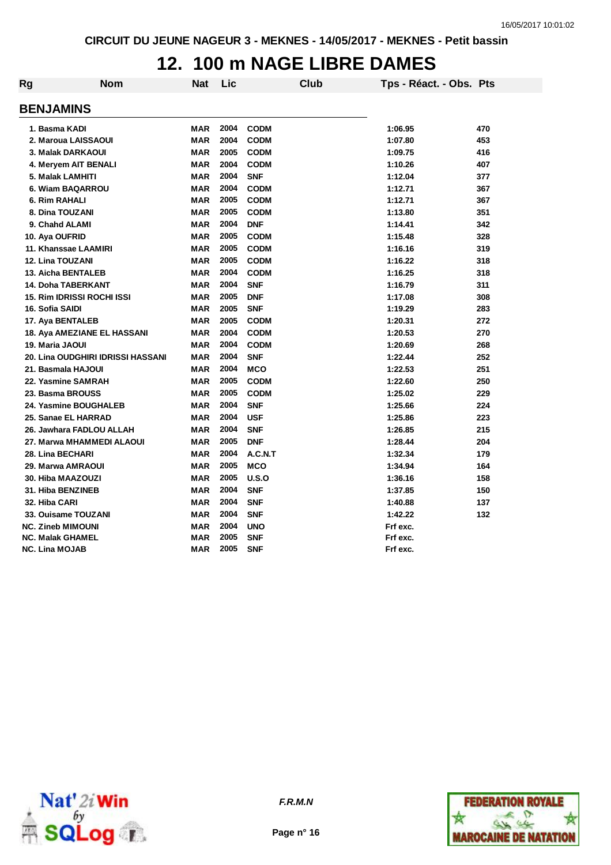### **12. 100 m NAGE LIBRE DAMES**

| Rg | <b>Nom</b>                        | Nat        | Lic  |             | <b>Club</b> | Tps - Réact. - Obs. Pts |     |
|----|-----------------------------------|------------|------|-------------|-------------|-------------------------|-----|
|    | <b>BENJAMINS</b>                  |            |      |             |             |                         |     |
|    | 1. Basma KADI                     | <b>MAR</b> | 2004 | <b>CODM</b> |             | 1:06.95                 | 470 |
|    | 2. Maroua LAISSAOUI               | <b>MAR</b> | 2004 | <b>CODM</b> |             | 1:07.80                 | 453 |
|    | 3. Malak DARKAOUI                 | <b>MAR</b> | 2005 | <b>CODM</b> |             | 1:09.75                 | 416 |
|    | 4. Meryem AIT BENALI              | <b>MAR</b> | 2004 | <b>CODM</b> |             | 1:10.26                 | 407 |
|    | 5. Malak LAMHITI                  | <b>MAR</b> | 2004 | <b>SNF</b>  |             | 1:12.04                 | 377 |
|    | 6. Wiam BAQARROU                  | <b>MAR</b> | 2004 | <b>CODM</b> |             | 1:12.71                 | 367 |
|    | 6. Rim RAHALI                     | <b>MAR</b> | 2005 | <b>CODM</b> |             | 1:12.71                 | 367 |
|    | 8. Dina TOUZANI                   | <b>MAR</b> | 2005 | <b>CODM</b> |             | 1:13.80                 | 351 |
|    | 9. Chahd ALAMI                    | <b>MAR</b> | 2004 | <b>DNF</b>  |             | 1:14.41                 | 342 |
|    | 10. Aya OUFRID                    | <b>MAR</b> | 2005 | <b>CODM</b> |             | 1:15.48                 | 328 |
|    | 11. Khanssae LAAMIRI              | <b>MAR</b> | 2005 | <b>CODM</b> |             | 1:16.16                 | 319 |
|    | <b>12. Lina TOUZANI</b>           | <b>MAR</b> | 2005 | <b>CODM</b> |             | 1:16.22                 | 318 |
|    | <b>13. Aicha BENTALEB</b>         | <b>MAR</b> | 2004 | <b>CODM</b> |             | 1:16.25                 | 318 |
|    | <b>14. Doha TABERKANT</b>         | <b>MAR</b> | 2004 | <b>SNF</b>  |             | 1:16.79                 | 311 |
|    | <b>15. Rim IDRISSI ROCHI ISSI</b> | <b>MAR</b> | 2005 | <b>DNF</b>  |             | 1:17.08                 | 308 |
|    | 16. Sofia SAIDI                   | <b>MAR</b> | 2005 | <b>SNF</b>  |             | 1:19.29                 | 283 |
|    | 17. Aya BENTALEB                  | <b>MAR</b> | 2005 | <b>CODM</b> |             | 1:20.31                 | 272 |
|    | 18. Aya AMEZIANE EL HASSANI       | <b>MAR</b> | 2004 | <b>CODM</b> |             | 1:20.53                 | 270 |
|    | 19. Maria JAOUI                   | <b>MAR</b> | 2004 | <b>CODM</b> |             | 1:20.69                 | 268 |
|    | 20. Lina OUDGHIRI IDRISSI HASSANI | <b>MAR</b> | 2004 | <b>SNF</b>  |             | 1:22.44                 | 252 |
|    | 21. Basmala HAJOUI                | <b>MAR</b> | 2004 | <b>MCO</b>  |             | 1:22.53                 | 251 |
|    | 22. Yasmine SAMRAH                | <b>MAR</b> | 2005 | <b>CODM</b> |             | 1:22.60                 | 250 |
|    | 23. Basma BROUSS                  | <b>MAR</b> | 2005 | <b>CODM</b> |             | 1:25.02                 | 229 |
|    | 24. Yasmine BOUGHALEB             | <b>MAR</b> | 2004 | <b>SNF</b>  |             | 1:25.66                 | 224 |
|    | 25. Sanae EL HARRAD               | <b>MAR</b> | 2004 | <b>USF</b>  |             | 1:25.86                 | 223 |
|    | 26. Jawhara FADLOU ALLAH          | <b>MAR</b> | 2004 | <b>SNF</b>  |             | 1:26.85                 | 215 |
|    | 27. Marwa MHAMMEDI ALAOUI         | <b>MAR</b> | 2005 | <b>DNF</b>  |             | 1:28.44                 | 204 |
|    | 28. Lina BECHARI                  | <b>MAR</b> | 2004 | A.C.N.T     |             | 1:32.34                 | 179 |
|    | 29. Marwa AMRAOUI                 | <b>MAR</b> | 2005 | <b>MCO</b>  |             | 1:34.94                 | 164 |
|    | 30. Hiba MAAZOUZI                 | <b>MAR</b> | 2005 | U.S.O       |             | 1:36.16                 | 158 |
|    | 31. Hiba BENZINEB                 | <b>MAR</b> | 2004 | <b>SNF</b>  |             | 1:37.85                 | 150 |
|    | 32. Hiba CARI                     | <b>MAR</b> | 2004 | <b>SNF</b>  |             | 1:40.88                 | 137 |
|    | 33. Ouisame TOUZANI               | <b>MAR</b> | 2004 | <b>SNF</b>  |             | 1:42.22                 | 132 |
|    | <b>NC. Zineb MIMOUNI</b>          | <b>MAR</b> | 2004 | <b>UNO</b>  |             | Frf exc.                |     |
|    | <b>NC. Malak GHAMEL</b>           | <b>MAR</b> | 2005 | <b>SNF</b>  |             | Frf exc.                |     |
|    | NC. Lina MOJAB                    | <b>MAR</b> | 2005 | <b>SNF</b>  |             | Frf exc.                |     |



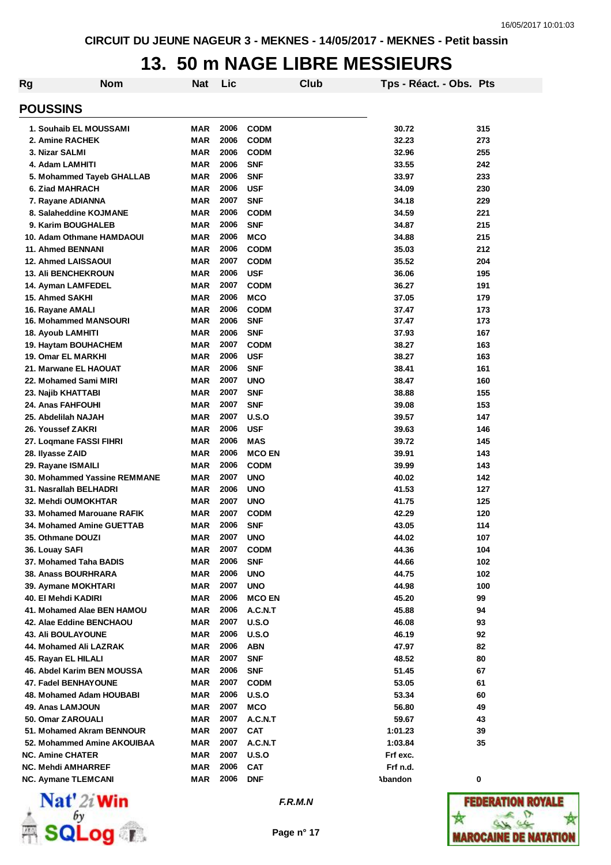## **13. 50 m NAGE LIBRE MESSIEURS**

| Rg                               | <b>Nom</b> | <b>Nat</b> | Lic  |               | Club | Tps - Réact. - Obs. Pts |     |
|----------------------------------|------------|------------|------|---------------|------|-------------------------|-----|
| <b>POUSSINS</b>                  |            |            |      |               |      |                         |     |
| 1. Souhaib EL MOUSSAMI           |            | MAR        | 2006 | <b>CODM</b>   |      | 30.72                   | 315 |
| 2. Amine RACHEK                  |            | MAR        | 2006 | <b>CODM</b>   |      | 32.23                   | 273 |
| 3. Nizar SALMI                   |            | <b>MAR</b> | 2006 | <b>CODM</b>   |      | 32.96                   | 255 |
| 4. Adam LAMHITI                  |            | <b>MAR</b> | 2006 | <b>SNF</b>    |      | 33.55                   | 242 |
| 5. Mohammed Tayeb GHALLAB        |            | <b>MAR</b> | 2006 | <b>SNF</b>    |      | 33.97                   | 233 |
| 6. Ziad MAHRACH                  |            | <b>MAR</b> | 2006 | <b>USF</b>    |      | 34.09                   | 230 |
| 7. Rayane ADIANNA                |            | <b>MAR</b> | 2007 | <b>SNF</b>    |      | 34.18                   | 229 |
| 8. Salaheddine KOJMANE           |            | <b>MAR</b> | 2006 | <b>CODM</b>   |      | 34.59                   | 221 |
| 9. Karim BOUGHALEB               |            | <b>MAR</b> | 2006 | <b>SNF</b>    |      | 34.87                   | 215 |
| 10. Adam Othmane HAMDAOUI        |            | <b>MAR</b> | 2006 | <b>MCO</b>    |      | 34.88                   | 215 |
| <b>11. Ahmed BENNANI</b>         |            | <b>MAR</b> | 2006 | <b>CODM</b>   |      | 35.03                   | 212 |
| <b>12. Ahmed LAISSAOUI</b>       |            | <b>MAR</b> | 2007 | <b>CODM</b>   |      | 35.52                   | 204 |
| <b>13. Ali BENCHEKROUN</b>       |            | <b>MAR</b> | 2006 | <b>USF</b>    |      | 36.06                   | 195 |
| 14. Ayman LAMFEDEL               |            | <b>MAR</b> | 2007 | <b>CODM</b>   |      | 36.27                   | 191 |
| 15. Ahmed SAKHI                  |            | <b>MAR</b> | 2006 | <b>MCO</b>    |      | 37.05                   | 179 |
| 16. Rayane AMALI                 |            | <b>MAR</b> | 2006 | <b>CODM</b>   |      | 37.47                   | 173 |
| 16. Mohammed MANSOURI            |            | MAR        | 2006 | <b>SNF</b>    |      | 37.47                   | 173 |
| 18. Ayoub LAMHITI                |            | MAR        | 2006 | <b>SNF</b>    |      | 37.93                   | 167 |
| 19. Haytam BOUHACHEM             |            | MAR        | 2007 | <b>CODM</b>   |      | 38.27                   | 163 |
| <b>19. Omar EL MARKHI</b>        |            | <b>MAR</b> | 2006 | <b>USF</b>    |      | 38.27                   | 163 |
| 21. Marwane EL HAOUAT            |            | MAR        | 2006 | <b>SNF</b>    |      | 38.41                   | 161 |
| 22. Mohamed Sami MIRI            |            | <b>MAR</b> | 2007 | <b>UNO</b>    |      | 38.47                   | 160 |
| 23. Najib KHATTABI               |            | <b>MAR</b> | 2007 | <b>SNF</b>    |      | 38.88                   | 155 |
| 24. Anas FAHFOUHI                |            | <b>MAR</b> | 2007 | <b>SNF</b>    |      | 39.08                   | 153 |
| 25. Abdelilah NAJAH              |            | <b>MAR</b> | 2007 | U.S.O         |      | 39.57                   | 147 |
| 26. Youssef ZAKRI                |            | <b>MAR</b> | 2006 | <b>USF</b>    |      | 39.63                   | 146 |
| 27. Loqmane FASSI FIHRI          |            | MAR        | 2006 | MAS           |      | 39.72                   | 145 |
| 28. Ilyasse ZAID                 |            | <b>MAR</b> | 2006 | <b>MCO EN</b> |      | 39.91                   | 143 |
| 29. Rayane ISMAILI               |            | <b>MAR</b> | 2006 | <b>CODM</b>   |      | 39.99                   | 143 |
| 30. Mohammed Yassine REMMANE     |            | <b>MAR</b> | 2007 | <b>UNO</b>    |      | 40.02                   | 142 |
| 31. Nasrallah BELHADRI           |            | <b>MAR</b> | 2006 | <b>UNO</b>    |      | 41.53                   | 127 |
| 32. Mehdi OUMOKHTAR              |            | <b>MAR</b> | 2007 | <b>UNO</b>    |      | 41.75                   | 125 |
| 33. Mohamed Marouane RAFIK       |            | MAR        | 2007 | <b>CODM</b>   |      | 42.29                   | 120 |
| <b>34. Mohamed Amine GUETTAB</b> |            | MAR        | 2006 | <b>SNF</b>    |      | 43.05                   | 114 |
| 35. Othmane DOUZI                |            | MAR        | 2007 | <b>UNO</b>    |      | 44.02                   | 107 |
| 36. Louay SAFI                   |            | MAR        | 2007 | <b>CODM</b>   |      | 44.36                   | 104 |
| 37. Mohamed Taha BADIS           |            | <b>MAR</b> | 2006 | <b>SNF</b>    |      | 44.66                   | 102 |
| 38. Anass BOURHRARA              |            | MAR        | 2006 | <b>UNO</b>    |      | 44.75                   | 102 |
| 39. Aymane MOKHTARI              |            | MAR        | 2007 | <b>UNO</b>    |      | 44.98                   | 100 |
| 40. El Mehdi KADIRI              |            | MAR        | 2006 | <b>MCO EN</b> |      | 45.20                   | 99  |
| 41. Mohamed Alae BEN HAMOU       |            | MAR        | 2006 | A.C.N.T       |      | 45.88                   | 94  |
| 42. Alae Eddine BENCHAOU         |            | MAR        | 2007 | U.S.O         |      | 46.08                   | 93  |
| <b>43. Ali BOULAYOUNE</b>        |            | MAR        | 2006 | U.S.O         |      | 46.19                   | 92  |
| 44. Mohamed Ali LAZRAK           |            | MAR        | 2006 | ABN           |      | 47.97                   | 82  |
| 45. Rayan EL HILALI              |            | MAR        | 2007 | <b>SNF</b>    |      | 48.52                   | 80  |
| 46. Abdel Karim BEN MOUSSA       |            | MAR        | 2006 | <b>SNF</b>    |      | 51.45                   | 67  |
| 47. Fadel BENHAYOUNE             |            | MAR        | 2007 | <b>CODM</b>   |      | 53.05                   | 61  |
| 48. Mohamed Adam HOUBABI         |            | MAR        | 2006 | U.S.O         |      | 53.34                   | 60  |
| 49. Anas LAMJOUN                 |            | MAR        | 2007 | <b>MCO</b>    |      | 56.80                   | 49  |
| 50. Omar ZAROUALI                |            | MAR        | 2007 | A.C.N.T       |      | 59.67                   | 43  |
| 51. Mohamed Akram BENNOUR        |            | MAR        | 2007 | <b>CAT</b>    |      | 1:01.23                 | 39  |
| 52. Mohammed Amine AKOUIBAA      |            | MAR        | 2007 | A.C.N.T       |      | 1:03.84                 | 35  |
| <b>NC. Amine CHATER</b>          |            | MAR        | 2007 | U.S.O         |      | Frf exc.                |     |
| NC. Mehdi AMHARREF               |            | MAR        | 2006 | <b>CAT</b>    |      | Frf n.d.                |     |
| <b>NC. Aymane TLEMCANI</b>       |            | MAR        | 2006 | <b>DNF</b>    |      | Abandon                 | 0   |



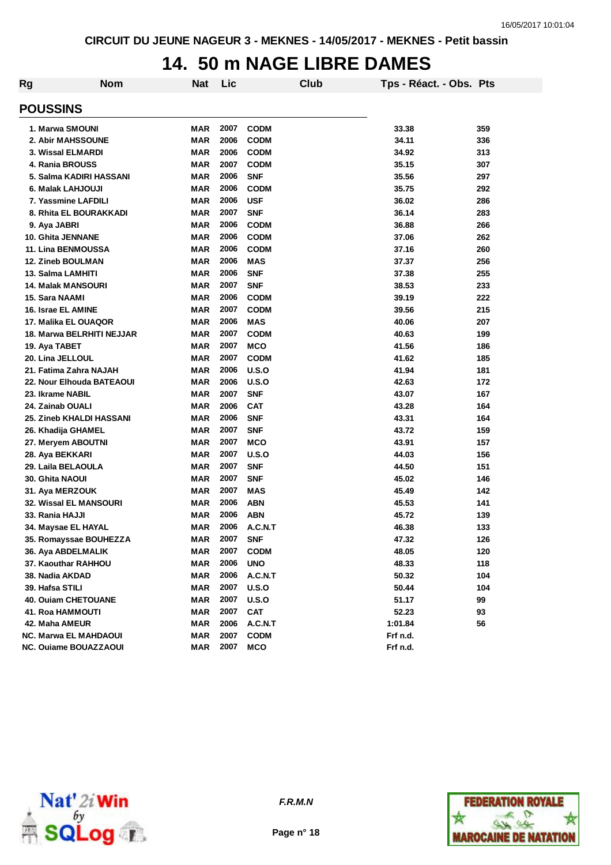## **14. 50 m NAGE LIBRE DAMES**

| Rg | <b>Nom</b>                   | <b>Nat</b> | Lic  |              | Club | Tps - Réact. - Obs. Pts |     |
|----|------------------------------|------------|------|--------------|------|-------------------------|-----|
|    | <b>POUSSINS</b>              |            |      |              |      |                         |     |
|    | 1. Marwa SMOUNI              | <b>MAR</b> | 2007 | <b>CODM</b>  |      | 33.38                   | 359 |
|    | 2. Abir MAHSSOUNE            | <b>MAR</b> | 2006 | <b>CODM</b>  |      | 34.11                   | 336 |
|    | 3. Wissal ELMARDI            | MAR        | 2006 | <b>CODM</b>  |      | 34.92                   | 313 |
|    | 4. Rania BROUSS              | MAR        | 2007 | <b>CODM</b>  |      | 35.15                   | 307 |
|    | 5. Salma KADIRI HASSANI      | MAR        | 2006 | <b>SNF</b>   |      | 35.56                   | 297 |
|    | 6. Malak LAHJOUJI            | <b>MAR</b> | 2006 | <b>CODM</b>  |      | 35.75                   | 292 |
|    | 7. Yassmine LAFDILI          | <b>MAR</b> | 2006 | <b>USF</b>   |      | 36.02                   | 286 |
|    | 8. Rhita EL BOURAKKADI       | <b>MAR</b> | 2007 | <b>SNF</b>   |      | 36.14                   | 283 |
|    | 9. Aya JABRI                 | MAR        | 2006 | <b>CODM</b>  |      | 36.88                   | 266 |
|    | 10. Ghita JENNANE            | MAR        | 2006 | <b>CODM</b>  |      | 37.06                   | 262 |
|    | 11. Lina BENMOUSSA           | <b>MAR</b> | 2006 | <b>CODM</b>  |      | 37.16                   | 260 |
|    | 12. Zineb BOULMAN            | <b>MAR</b> | 2006 | <b>MAS</b>   |      | 37.37                   | 256 |
|    | 13. Salma LAMHITI            | <b>MAR</b> | 2006 | <b>SNF</b>   |      | 37.38                   | 255 |
|    | <b>14. Malak MANSOURI</b>    | <b>MAR</b> | 2007 | <b>SNF</b>   |      | 38.53                   | 233 |
|    | 15. Sara NAAMI               | <b>MAR</b> | 2006 | <b>CODM</b>  |      | 39.19                   | 222 |
|    | 16. Israe EL AMINE           | <b>MAR</b> | 2007 | <b>CODM</b>  |      | 39.56                   | 215 |
|    | 17. Malika EL OUAQOR         | MAR        | 2006 | <b>MAS</b>   |      | 40.06                   | 207 |
|    | 18. Marwa BELRHITI NEJJAR    | MAR        | 2007 | <b>CODM</b>  |      | 40.63                   | 199 |
|    | 19. Aya TABET                | <b>MAR</b> | 2007 | <b>MCO</b>   |      | 41.56                   | 186 |
|    | 20. Lina JELLOUL             | <b>MAR</b> | 2007 | <b>CODM</b>  |      | 41.62                   | 185 |
|    | 21. Fatima Zahra NAJAH       | <b>MAR</b> | 2006 | U.S.O        |      | 41.94                   | 181 |
|    | 22. Nour Elhouda BATEAOUI    | <b>MAR</b> | 2006 | U.S.O        |      | 42.63                   | 172 |
|    | 23. Ikrame NABIL             | <b>MAR</b> | 2007 | <b>SNF</b>   |      | 43.07                   | 167 |
|    | 24. Zainab OUALI             | <b>MAR</b> | 2006 | <b>CAT</b>   |      | 43.28                   | 164 |
|    | 25. Zineb KHALDI HASSANI     | <b>MAR</b> | 2006 | <b>SNF</b>   |      | 43.31                   | 164 |
|    | 26. Khadija GHAMEL           | <b>MAR</b> | 2007 | <b>SNF</b>   |      | 43.72                   | 159 |
|    | 27. Meryem ABOUTNI           | <b>MAR</b> | 2007 | <b>MCO</b>   |      | 43.91                   | 157 |
|    | 28. Aya BEKKARI              | <b>MAR</b> | 2007 | U.S.O        |      | 44.03                   | 156 |
|    | 29. Laila BELAOULA           | <b>MAR</b> | 2007 | <b>SNF</b>   |      | 44.50                   | 151 |
|    | 30. Ghita NAOUI              | <b>MAR</b> | 2007 | <b>SNF</b>   |      | 45.02                   | 146 |
|    | 31. Aya MERZOUK              | <b>MAR</b> | 2007 | <b>MAS</b>   |      | 45.49                   | 142 |
|    | 32. Wissal EL MANSOURI       | <b>MAR</b> | 2006 | <b>ABN</b>   |      | 45.53                   | 141 |
|    | 33. Rania HAJJI              | MAR        | 2006 | <b>ABN</b>   |      | 45.72                   | 139 |
|    | 34. Maysae EL HAYAL          | <b>MAR</b> | 2006 | A.C.N.T      |      | 46.38                   | 133 |
|    | 35. Romayssae BOUHEZZA       | MAR        | 2007 | SNF          |      | 47.32                   | 126 |
|    | 36. Aya ABDELMALIK           | MAR        | 2007 | <b>CODM</b>  |      | 48.05                   | 120 |
|    | 37. Kaouthar RAHHOU          | <b>MAR</b> | 2006 | <b>UNO</b>   |      | 48.33                   | 118 |
|    | 38. Nadia AKDAD              | <b>MAR</b> | 2006 | A.C.N.T      |      | 50.32                   | 104 |
|    | 39. Hafsa STILI              | <b>MAR</b> | 2007 | <b>U.S.O</b> |      | 50.44                   | 104 |
|    | <b>40. Ouiam CHETOUANE</b>   | <b>MAR</b> | 2007 | U.S.O        |      | 51.17                   | 99  |
|    | <b>41. Roa HAMMOUTI</b>      | MAR        | 2007 | <b>CAT</b>   |      | 52.23                   | 93  |
|    | 42. Maha AMEUR               | MAR        | 2006 | A.C.N.T      |      | 1:01.84                 | 56  |
|    | <b>NC. Marwa EL MAHDAOUI</b> | MAR        | 2007 | <b>CODM</b>  |      | Frf n.d.                |     |
|    | <b>NC. Ouiame BOUAZZAOUI</b> | MAR        | 2007 | <b>MCO</b>   |      | Frf n.d.                |     |



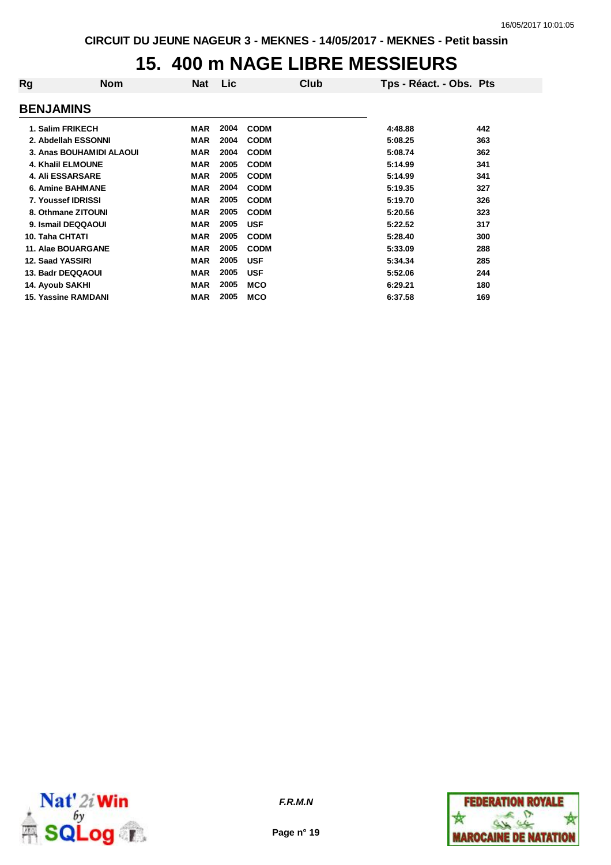## **15. 400 m NAGE LIBRE MESSIEURS**

| Rg                         | <b>Nom</b> | <b>Nat</b> | <b>Lic</b> | Club        | Tps - Réact. - Obs. Pts |     |
|----------------------------|------------|------------|------------|-------------|-------------------------|-----|
| <b>BENJAMINS</b>           |            |            |            |             |                         |     |
| 1. Salim FRIKECH           |            | MAR        | 2004       | <b>CODM</b> | 4:48.88                 | 442 |
| 2. Abdellah ESSONNI        |            | <b>MAR</b> | 2004       | <b>CODM</b> | 5:08.25                 | 363 |
| 3. Anas BOUHAMIDI ALAOUI   |            | <b>MAR</b> | 2004       | <b>CODM</b> | 5:08.74                 | 362 |
| 4. Khalil ELMOUNE          |            | <b>MAR</b> | 2005       | <b>CODM</b> | 5:14.99                 | 341 |
| <b>4. Ali ESSARSARE</b>    |            | <b>MAR</b> | 2005       | <b>CODM</b> | 5:14.99                 | 341 |
| <b>6. Amine BAHMANE</b>    |            | <b>MAR</b> | 2004       | <b>CODM</b> | 5:19.35                 | 327 |
| 7. Youssef IDRISSI         |            | <b>MAR</b> | 2005       | <b>CODM</b> | 5:19.70                 | 326 |
| 8. Othmane ZITOUNI         |            | <b>MAR</b> | 2005       | <b>CODM</b> | 5:20.56                 | 323 |
| 9. Ismail DEQQAOUI         |            | <b>MAR</b> | 2005       | <b>USF</b>  | 5:22.52                 | 317 |
| 10. Taha CHTATI            |            | <b>MAR</b> | 2005       | <b>CODM</b> | 5:28.40                 | 300 |
| 11. Alae BOUARGANE         |            | <b>MAR</b> | 2005       | <b>CODM</b> | 5:33.09                 | 288 |
| 12. Saad YASSIRI           |            | <b>MAR</b> | 2005       | <b>USF</b>  | 5:34.34                 | 285 |
| 13. Badr DEQQAOUI          |            | <b>MAR</b> | 2005       | <b>USF</b>  | 5:52.06                 | 244 |
| 14. Ayoub SAKHI            |            | <b>MAR</b> | 2005       | <b>MCO</b>  | 6:29.21                 | 180 |
| <b>15. Yassine RAMDANI</b> |            | <b>MAR</b> | 2005       | <b>MCO</b>  | 6:37.58                 | 169 |